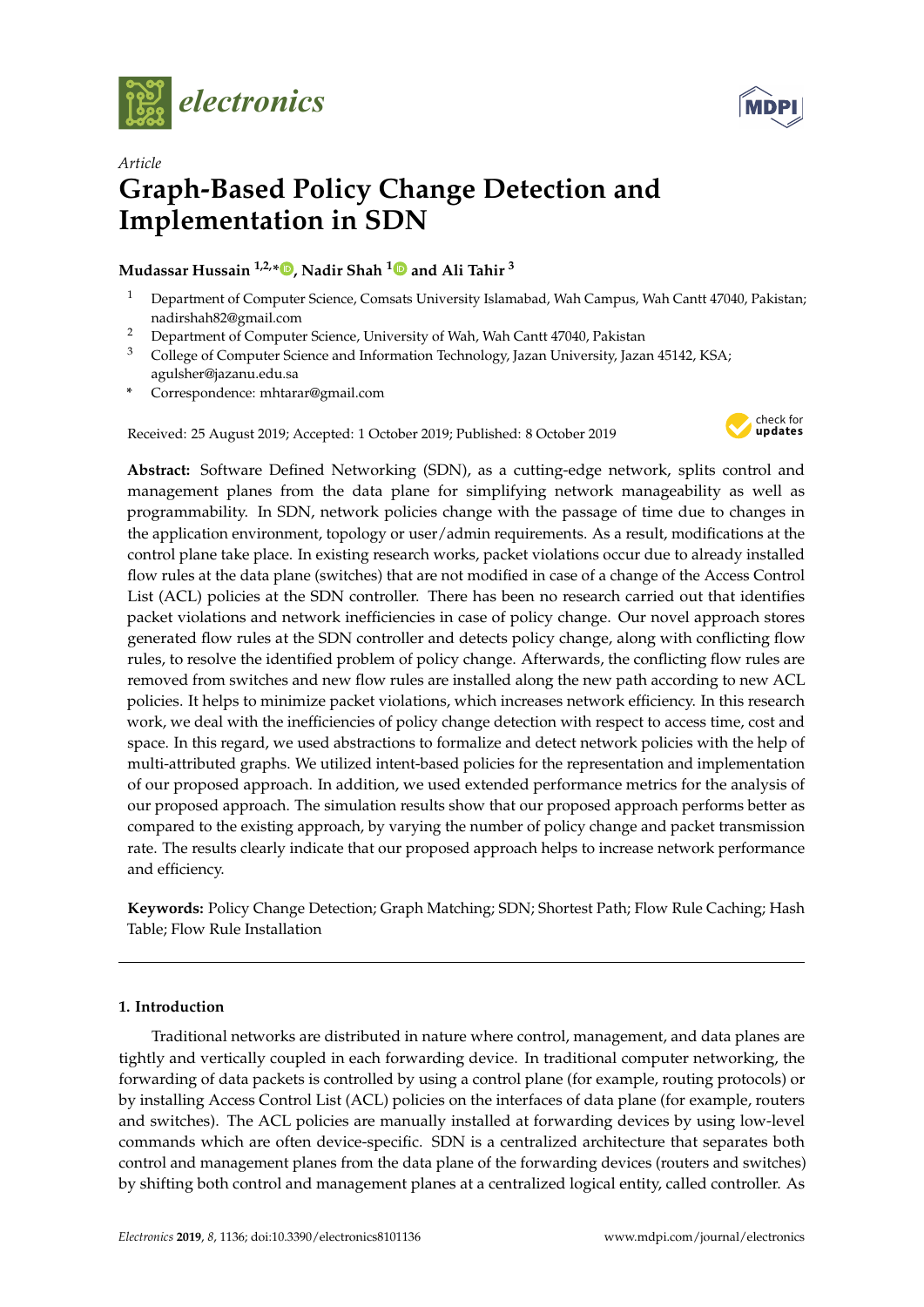



# *Article* **Graph-Based Policy Change Detection and Implementation in SDN**

# **Mudassar Hussain 1,2,[\\*](https://orcid.org/0000-0002-2723-2253) , Nadir Shah [1](https://orcid.org/0000-0003-1173-4272) and Ali Tahir <sup>3</sup>**

- <sup>1</sup> Department of Computer Science, Comsats University Islamabad, Wah Campus, Wah Cantt 47040, Pakistan; nadirshah82@gmail.com
- <sup>2</sup> Department of Computer Science, University of Wah, Wah Cantt 47040, Pakistan
- <sup>3</sup> College of Computer Science and Information Technology, Jazan University, Jazan 45142, KSA; agulsher@jazanu.edu.sa
- **\*** Correspondence: mhtarar@gmail.com

Received: 25 August 2019; Accepted: 1 October 2019; Published: 8 October 2019



**Abstract:** Software Defined Networking (SDN), as a cutting-edge network, splits control and management planes from the data plane for simplifying network manageability as well as programmability. In SDN, network policies change with the passage of time due to changes in the application environment, topology or user/admin requirements. As a result, modifications at the control plane take place. In existing research works, packet violations occur due to already installed flow rules at the data plane (switches) that are not modified in case of a change of the Access Control List (ACL) policies at the SDN controller. There has been no research carried out that identifies packet violations and network inefficiencies in case of policy change. Our novel approach stores generated flow rules at the SDN controller and detects policy change, along with conflicting flow rules, to resolve the identified problem of policy change. Afterwards, the conflicting flow rules are removed from switches and new flow rules are installed along the new path according to new ACL policies. It helps to minimize packet violations, which increases network efficiency. In this research work, we deal with the inefficiencies of policy change detection with respect to access time, cost and space. In this regard, we used abstractions to formalize and detect network policies with the help of multi-attributed graphs. We utilized intent-based policies for the representation and implementation of our proposed approach. In addition, we used extended performance metrics for the analysis of our proposed approach. The simulation results show that our proposed approach performs better as compared to the existing approach, by varying the number of policy change and packet transmission rate. The results clearly indicate that our proposed approach helps to increase network performance and efficiency.

**Keywords:** Policy Change Detection; Graph Matching; SDN; Shortest Path; Flow Rule Caching; Hash Table; Flow Rule Installation

## **1. Introduction**

Traditional networks are distributed in nature where control, management, and data planes are tightly and vertically coupled in each forwarding device. In traditional computer networking, the forwarding of data packets is controlled by using a control plane (for example, routing protocols) or by installing Access Control List (ACL) policies on the interfaces of data plane (for example, routers and switches). The ACL policies are manually installed at forwarding devices by using low-level commands which are often device-specific. SDN is a centralized architecture that separates both control and management planes from the data plane of the forwarding devices (routers and switches) by shifting both control and management planes at a centralized logical entity, called controller. As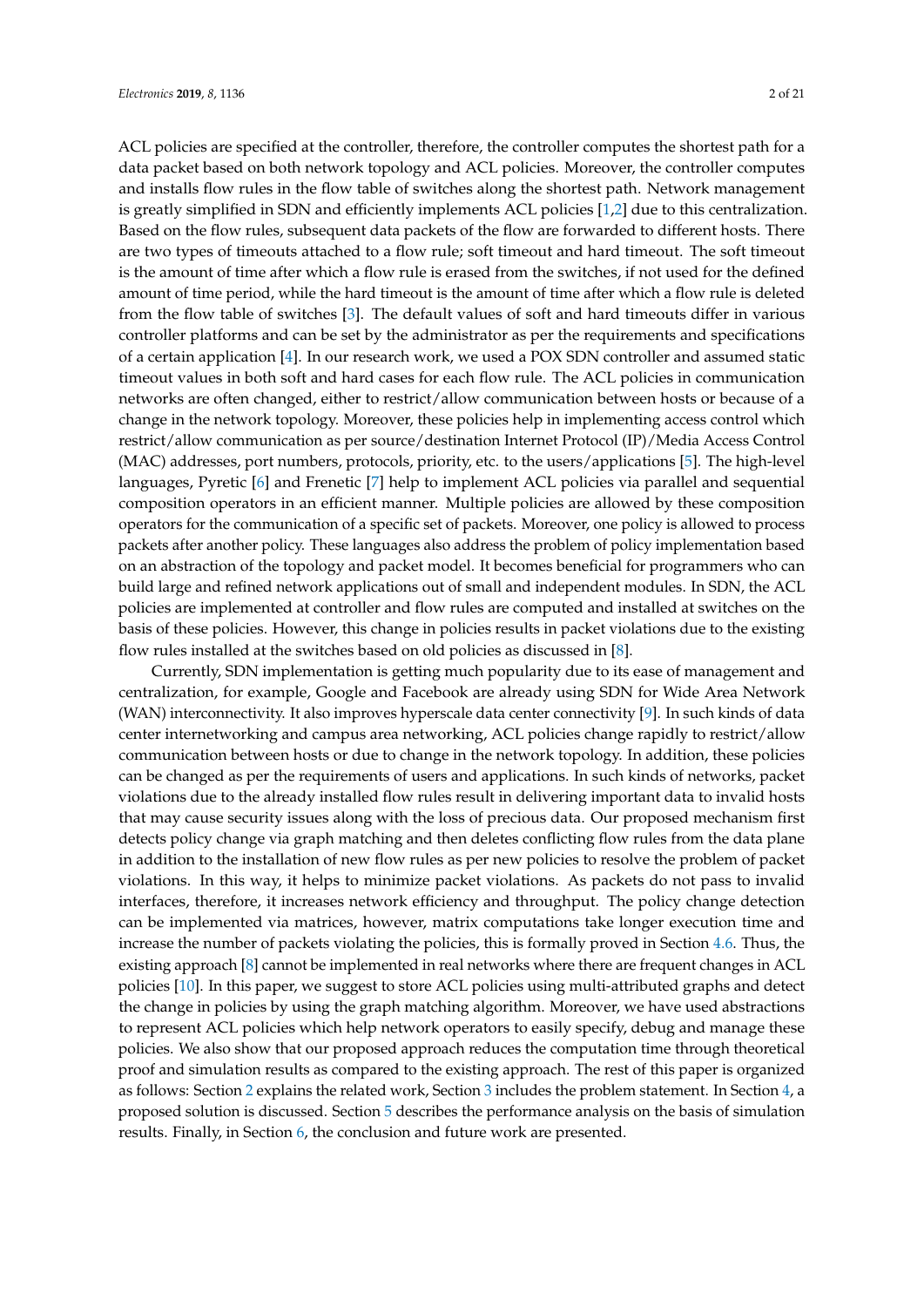ACL policies are specified at the controller, therefore, the controller computes the shortest path for a data packet based on both network topology and ACL policies. Moreover, the controller computes and installs flow rules in the flow table of switches along the shortest path. Network management is greatly simplified in SDN and efficiently implements ACL policies [\[1,](#page-17-0)[2\]](#page-17-1) due to this centralization. Based on the flow rules, subsequent data packets of the flow are forwarded to different hosts. There are two types of timeouts attached to a flow rule; soft timeout and hard timeout. The soft timeout is the amount of time after which a flow rule is erased from the switches, if not used for the defined amount of time period, while the hard timeout is the amount of time after which a flow rule is deleted from the flow table of switches [\[3\]](#page-17-2). The default values of soft and hard timeouts differ in various controller platforms and can be set by the administrator as per the requirements and specifications of a certain application [\[4\]](#page-17-3). In our research work, we used a POX SDN controller and assumed static timeout values in both soft and hard cases for each flow rule. The ACL policies in communication networks are often changed, either to restrict/allow communication between hosts or because of a change in the network topology. Moreover, these policies help in implementing access control which restrict/allow communication as per source/destination Internet Protocol (IP)/Media Access Control (MAC) addresses, port numbers, protocols, priority, etc. to the users/applications [\[5\]](#page-17-4). The high-level languages, Pyretic [\[6\]](#page-18-0) and Frenetic [\[7\]](#page-18-1) help to implement ACL policies via parallel and sequential composition operators in an efficient manner. Multiple policies are allowed by these composition operators for the communication of a specific set of packets. Moreover, one policy is allowed to process packets after another policy. These languages also address the problem of policy implementation based on an abstraction of the topology and packet model. It becomes beneficial for programmers who can build large and refined network applications out of small and independent modules. In SDN, the ACL policies are implemented at controller and flow rules are computed and installed at switches on the basis of these policies. However, this change in policies results in packet violations due to the existing flow rules installed at the switches based on old policies as discussed in [\[8\]](#page-18-2).

Currently, SDN implementation is getting much popularity due to its ease of management and centralization, for example, Google and Facebook are already using SDN for Wide Area Network (WAN) interconnectivity. It also improves hyperscale data center connectivity [\[9\]](#page-18-3). In such kinds of data center internetworking and campus area networking, ACL policies change rapidly to restrict/allow communication between hosts or due to change in the network topology. In addition, these policies can be changed as per the requirements of users and applications. In such kinds of networks, packet violations due to the already installed flow rules result in delivering important data to invalid hosts that may cause security issues along with the loss of precious data. Our proposed mechanism first detects policy change via graph matching and then deletes conflicting flow rules from the data plane in addition to the installation of new flow rules as per new policies to resolve the problem of packet violations. In this way, it helps to minimize packet violations. As packets do not pass to invalid interfaces, therefore, it increases network efficiency and throughput. The policy change detection can be implemented via matrices, however, matrix computations take longer execution time and increase the number of packets violating the policies, this is formally proved in Section [4.6.](#page-12-0) Thus, the existing approach [\[8\]](#page-18-2) cannot be implemented in real networks where there are frequent changes in ACL policies [\[10\]](#page-18-4). In this paper, we suggest to store ACL policies using multi-attributed graphs and detect the change in policies by using the graph matching algorithm. Moreover, we have used abstractions to represent ACL policies which help network operators to easily specify, debug and manage these policies. We also show that our proposed approach reduces the computation time through theoretical proof and simulation results as compared to the existing approach. The rest of this paper is organized as follows: Section [2](#page-2-0) explains the related work, Section [3](#page-5-0) includes the problem statement. In Section [4,](#page-5-1) a proposed solution is discussed. Section [5](#page-14-0) describes the performance analysis on the basis of simulation results. Finally, in Section [6,](#page-17-5) the conclusion and future work are presented.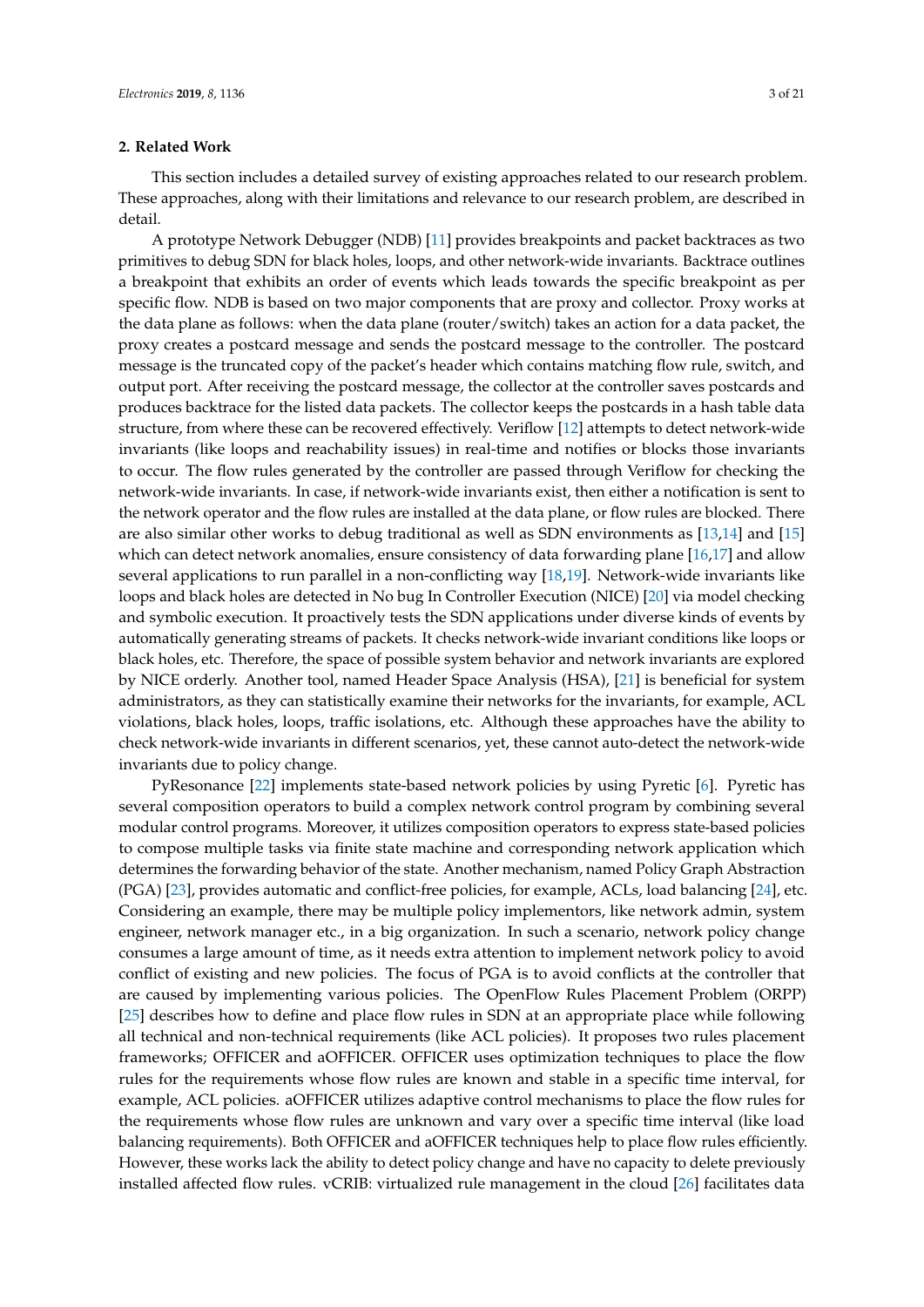#### <span id="page-2-0"></span>**2. Related Work**

This section includes a detailed survey of existing approaches related to our research problem. These approaches, along with their limitations and relevance to our research problem, are described in detail.

A prototype Network Debugger (NDB) [\[11\]](#page-18-5) provides breakpoints and packet backtraces as two primitives to debug SDN for black holes, loops, and other network-wide invariants. Backtrace outlines a breakpoint that exhibits an order of events which leads towards the specific breakpoint as per specific flow. NDB is based on two major components that are proxy and collector. Proxy works at the data plane as follows: when the data plane (router/switch) takes an action for a data packet, the proxy creates a postcard message and sends the postcard message to the controller. The postcard message is the truncated copy of the packet's header which contains matching flow rule, switch, and output port. After receiving the postcard message, the collector at the controller saves postcards and produces backtrace for the listed data packets. The collector keeps the postcards in a hash table data structure, from where these can be recovered effectively. Veriflow [\[12\]](#page-18-6) attempts to detect network-wide invariants (like loops and reachability issues) in real-time and notifies or blocks those invariants to occur. The flow rules generated by the controller are passed through Veriflow for checking the network-wide invariants. In case, if network-wide invariants exist, then either a notification is sent to the network operator and the flow rules are installed at the data plane, or flow rules are blocked. There are also similar other works to debug traditional as well as SDN environments as [\[13](#page-18-7)[,14\]](#page-18-8) and [\[15\]](#page-18-9) which can detect network anomalies, ensure consistency of data forwarding plane [\[16](#page-18-10)[,17\]](#page-18-11) and allow several applications to run parallel in a non-conflicting way [\[18](#page-18-12)[,19\]](#page-18-13). Network-wide invariants like loops and black holes are detected in No bug In Controller Execution (NICE) [\[20\]](#page-18-14) via model checking and symbolic execution. It proactively tests the SDN applications under diverse kinds of events by automatically generating streams of packets. It checks network-wide invariant conditions like loops or black holes, etc. Therefore, the space of possible system behavior and network invariants are explored by NICE orderly. Another tool, named Header Space Analysis (HSA), [\[21\]](#page-18-15) is beneficial for system administrators, as they can statistically examine their networks for the invariants, for example, ACL violations, black holes, loops, traffic isolations, etc. Although these approaches have the ability to check network-wide invariants in different scenarios, yet, these cannot auto-detect the network-wide invariants due to policy change.

PyResonance [\[22\]](#page-18-16) implements state-based network policies by using Pyretic [\[6\]](#page-18-0). Pyretic has several composition operators to build a complex network control program by combining several modular control programs. Moreover, it utilizes composition operators to express state-based policies to compose multiple tasks via finite state machine and corresponding network application which determines the forwarding behavior of the state. Another mechanism, named Policy Graph Abstraction (PGA) [\[23\]](#page-18-17), provides automatic and conflict-free policies, for example, ACLs, load balancing [\[24\]](#page-18-18), etc. Considering an example, there may be multiple policy implementors, like network admin, system engineer, network manager etc., in a big organization. In such a scenario, network policy change consumes a large amount of time, as it needs extra attention to implement network policy to avoid conflict of existing and new policies. The focus of PGA is to avoid conflicts at the controller that are caused by implementing various policies. The OpenFlow Rules Placement Problem (ORPP) [\[25\]](#page-18-19) describes how to define and place flow rules in SDN at an appropriate place while following all technical and non-technical requirements (like ACL policies). It proposes two rules placement frameworks; OFFICER and aOFFICER. OFFICER uses optimization techniques to place the flow rules for the requirements whose flow rules are known and stable in a specific time interval, for example, ACL policies. aOFFICER utilizes adaptive control mechanisms to place the flow rules for the requirements whose flow rules are unknown and vary over a specific time interval (like load balancing requirements). Both OFFICER and aOFFICER techniques help to place flow rules efficiently. However, these works lack the ability to detect policy change and have no capacity to delete previously installed affected flow rules. vCRIB: virtualized rule management in the cloud [\[26\]](#page-18-20) facilitates data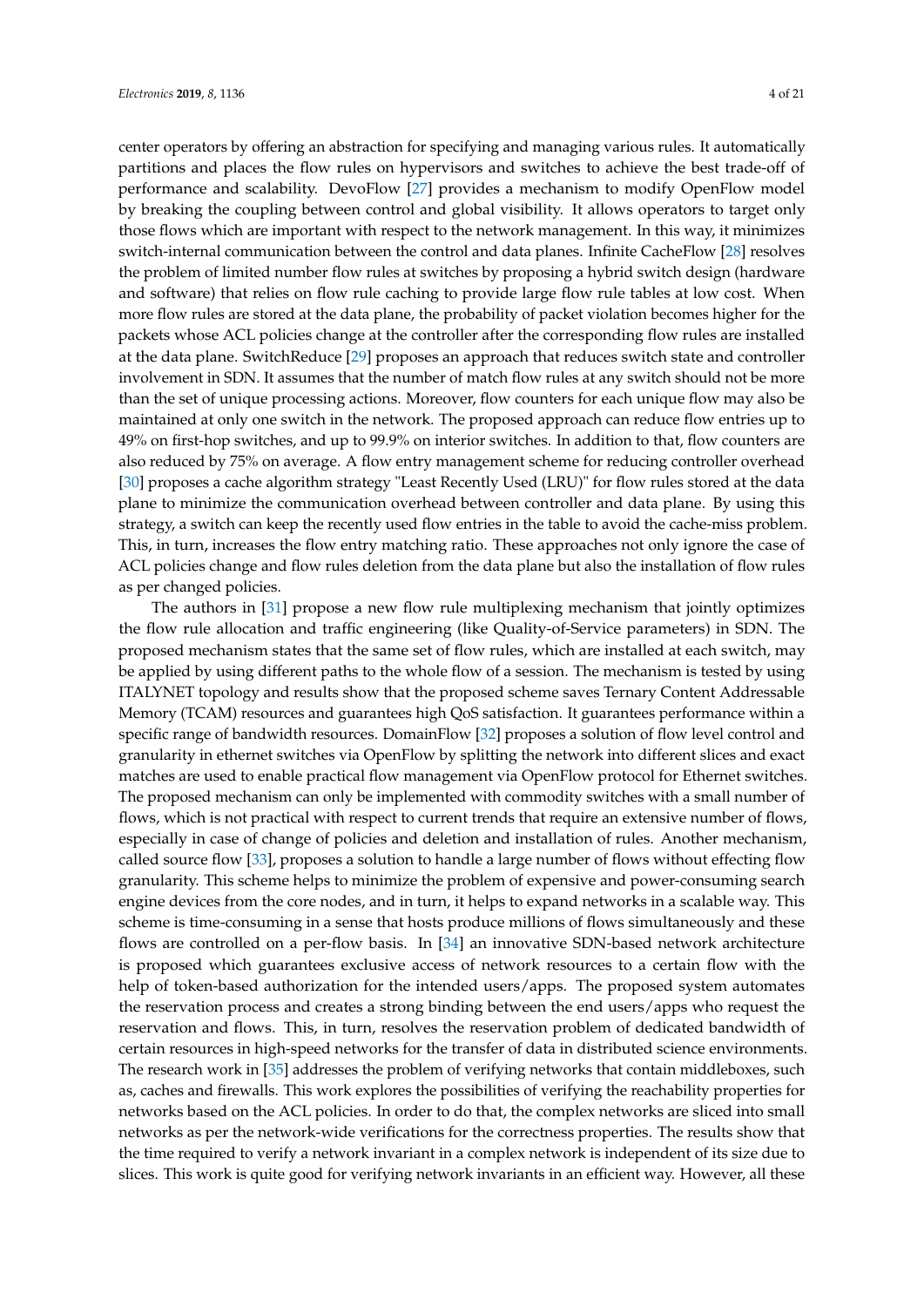center operators by offering an abstraction for specifying and managing various rules. It automatically partitions and places the flow rules on hypervisors and switches to achieve the best trade-off of performance and scalability. DevoFlow [\[27\]](#page-18-21) provides a mechanism to modify OpenFlow model by breaking the coupling between control and global visibility. It allows operators to target only those flows which are important with respect to the network management. In this way, it minimizes switch-internal communication between the control and data planes. Infinite CacheFlow [\[28\]](#page-19-0) resolves the problem of limited number flow rules at switches by proposing a hybrid switch design (hardware and software) that relies on flow rule caching to provide large flow rule tables at low cost. When more flow rules are stored at the data plane, the probability of packet violation becomes higher for the packets whose ACL policies change at the controller after the corresponding flow rules are installed at the data plane. SwitchReduce [\[29\]](#page-19-1) proposes an approach that reduces switch state and controller involvement in SDN. It assumes that the number of match flow rules at any switch should not be more than the set of unique processing actions. Moreover, flow counters for each unique flow may also be maintained at only one switch in the network. The proposed approach can reduce flow entries up to 49% on first-hop switches, and up to 99.9% on interior switches. In addition to that, flow counters are also reduced by 75% on average. A flow entry management scheme for reducing controller overhead [\[30\]](#page-19-2) proposes a cache algorithm strategy "Least Recently Used (LRU)" for flow rules stored at the data plane to minimize the communication overhead between controller and data plane. By using this strategy, a switch can keep the recently used flow entries in the table to avoid the cache-miss problem. This, in turn, increases the flow entry matching ratio. These approaches not only ignore the case of ACL policies change and flow rules deletion from the data plane but also the installation of flow rules as per changed policies.

The authors in [\[31\]](#page-19-3) propose a new flow rule multiplexing mechanism that jointly optimizes the flow rule allocation and traffic engineering (like Quality-of-Service parameters) in SDN. The proposed mechanism states that the same set of flow rules, which are installed at each switch, may be applied by using different paths to the whole flow of a session. The mechanism is tested by using ITALYNET topology and results show that the proposed scheme saves Ternary Content Addressable Memory (TCAM) resources and guarantees high QoS satisfaction. It guarantees performance within a specific range of bandwidth resources. DomainFlow [\[32\]](#page-19-4) proposes a solution of flow level control and granularity in ethernet switches via OpenFlow by splitting the network into different slices and exact matches are used to enable practical flow management via OpenFlow protocol for Ethernet switches. The proposed mechanism can only be implemented with commodity switches with a small number of flows, which is not practical with respect to current trends that require an extensive number of flows, especially in case of change of policies and deletion and installation of rules. Another mechanism, called source flow [\[33\]](#page-19-5), proposes a solution to handle a large number of flows without effecting flow granularity. This scheme helps to minimize the problem of expensive and power-consuming search engine devices from the core nodes, and in turn, it helps to expand networks in a scalable way. This scheme is time-consuming in a sense that hosts produce millions of flows simultaneously and these flows are controlled on a per-flow basis. In [\[34\]](#page-19-6) an innovative SDN-based network architecture is proposed which guarantees exclusive access of network resources to a certain flow with the help of token-based authorization for the intended users/apps. The proposed system automates the reservation process and creates a strong binding between the end users/apps who request the reservation and flows. This, in turn, resolves the reservation problem of dedicated bandwidth of certain resources in high-speed networks for the transfer of data in distributed science environments. The research work in [\[35\]](#page-19-7) addresses the problem of verifying networks that contain middleboxes, such as, caches and firewalls. This work explores the possibilities of verifying the reachability properties for networks based on the ACL policies. In order to do that, the complex networks are sliced into small networks as per the network-wide verifications for the correctness properties. The results show that the time required to verify a network invariant in a complex network is independent of its size due to slices. This work is quite good for verifying network invariants in an efficient way. However, all these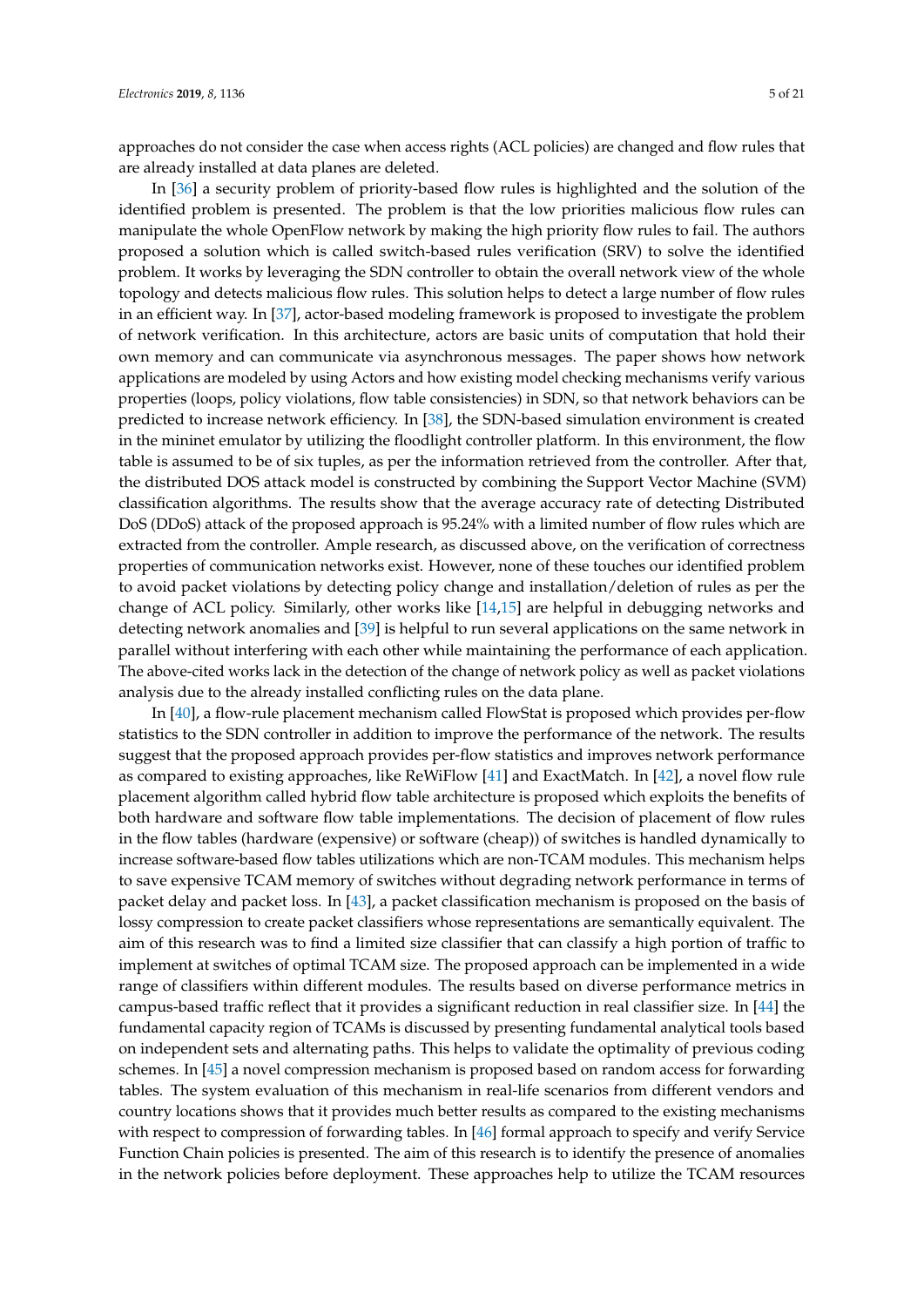approaches do not consider the case when access rights (ACL policies) are changed and flow rules that are already installed at data planes are deleted.

In [\[36\]](#page-19-8) a security problem of priority-based flow rules is highlighted and the solution of the identified problem is presented. The problem is that the low priorities malicious flow rules can manipulate the whole OpenFlow network by making the high priority flow rules to fail. The authors proposed a solution which is called switch-based rules verification (SRV) to solve the identified problem. It works by leveraging the SDN controller to obtain the overall network view of the whole topology and detects malicious flow rules. This solution helps to detect a large number of flow rules in an efficient way. In [\[37\]](#page-19-9), actor-based modeling framework is proposed to investigate the problem of network verification. In this architecture, actors are basic units of computation that hold their own memory and can communicate via asynchronous messages. The paper shows how network applications are modeled by using Actors and how existing model checking mechanisms verify various properties (loops, policy violations, flow table consistencies) in SDN, so that network behaviors can be predicted to increase network efficiency. In [\[38\]](#page-19-10), the SDN-based simulation environment is created in the mininet emulator by utilizing the floodlight controller platform. In this environment, the flow table is assumed to be of six tuples, as per the information retrieved from the controller. After that, the distributed DOS attack model is constructed by combining the Support Vector Machine (SVM) classification algorithms. The results show that the average accuracy rate of detecting Distributed DoS (DDoS) attack of the proposed approach is 95.24% with a limited number of flow rules which are extracted from the controller. Ample research, as discussed above, on the verification of correctness properties of communication networks exist. However, none of these touches our identified problem to avoid packet violations by detecting policy change and installation/deletion of rules as per the change of ACL policy. Similarly, other works like [\[14](#page-18-8)[,15\]](#page-18-9) are helpful in debugging networks and detecting network anomalies and [\[39\]](#page-19-11) is helpful to run several applications on the same network in parallel without interfering with each other while maintaining the performance of each application. The above-cited works lack in the detection of the change of network policy as well as packet violations analysis due to the already installed conflicting rules on the data plane.

In [\[40\]](#page-19-12), a flow-rule placement mechanism called FlowStat is proposed which provides per-flow statistics to the SDN controller in addition to improve the performance of the network. The results suggest that the proposed approach provides per-flow statistics and improves network performance as compared to existing approaches, like ReWiFlow [\[41\]](#page-19-13) and ExactMatch. In [\[42\]](#page-19-14), a novel flow rule placement algorithm called hybrid flow table architecture is proposed which exploits the benefits of both hardware and software flow table implementations. The decision of placement of flow rules in the flow tables (hardware (expensive) or software (cheap)) of switches is handled dynamically to increase software-based flow tables utilizations which are non-TCAM modules. This mechanism helps to save expensive TCAM memory of switches without degrading network performance in terms of packet delay and packet loss. In [\[43\]](#page-19-15), a packet classification mechanism is proposed on the basis of lossy compression to create packet classifiers whose representations are semantically equivalent. The aim of this research was to find a limited size classifier that can classify a high portion of traffic to implement at switches of optimal TCAM size. The proposed approach can be implemented in a wide range of classifiers within different modules. The results based on diverse performance metrics in campus-based traffic reflect that it provides a significant reduction in real classifier size. In [\[44\]](#page-19-16) the fundamental capacity region of TCAMs is discussed by presenting fundamental analytical tools based on independent sets and alternating paths. This helps to validate the optimality of previous coding schemes. In [\[45\]](#page-19-17) a novel compression mechanism is proposed based on random access for forwarding tables. The system evaluation of this mechanism in real-life scenarios from different vendors and country locations shows that it provides much better results as compared to the existing mechanisms with respect to compression of forwarding tables. In [\[46\]](#page-19-18) formal approach to specify and verify Service Function Chain policies is presented. The aim of this research is to identify the presence of anomalies in the network policies before deployment. These approaches help to utilize the TCAM resources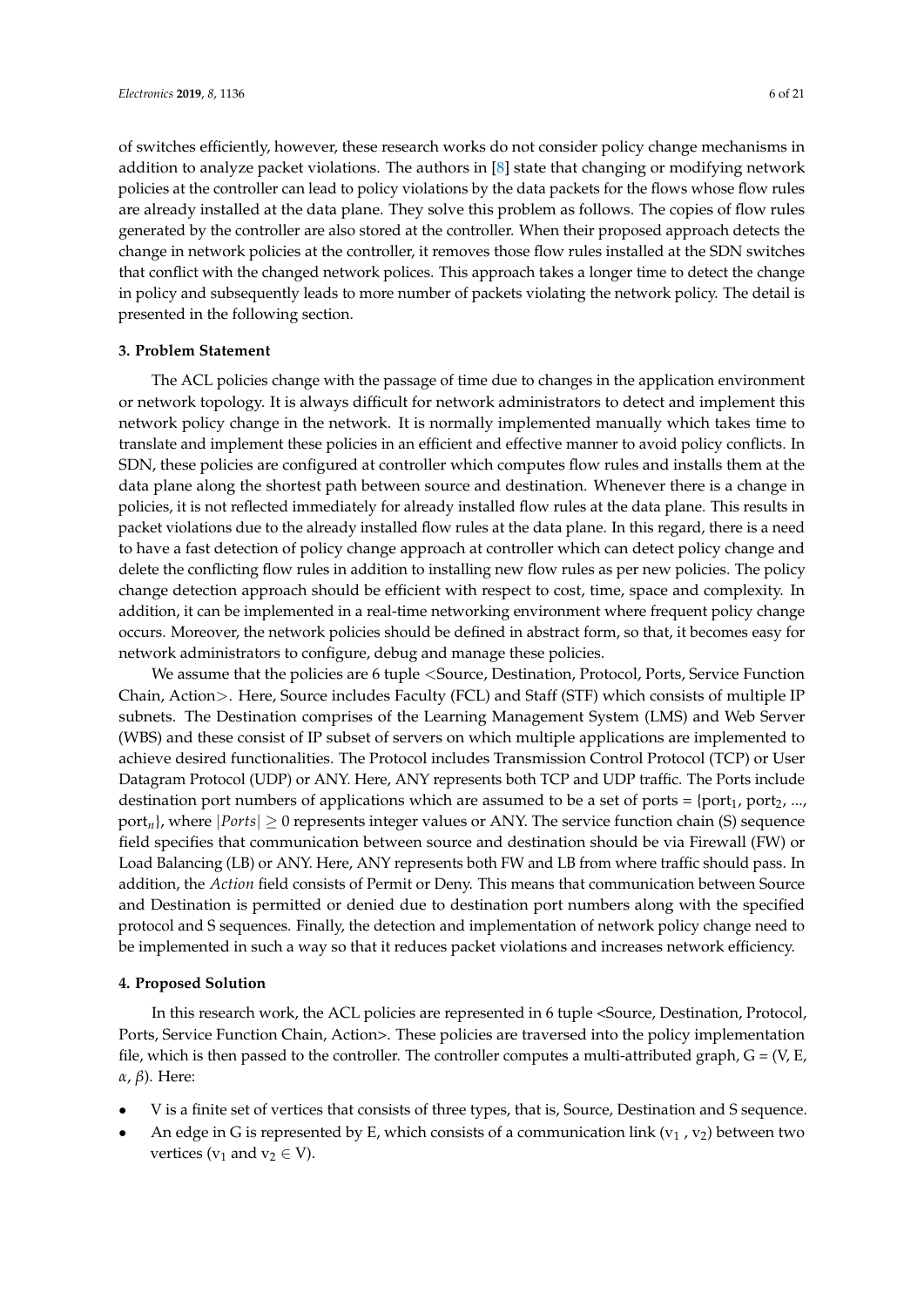of switches efficiently, however, these research works do not consider policy change mechanisms in addition to analyze packet violations. The authors in [\[8\]](#page-18-2) state that changing or modifying network policies at the controller can lead to policy violations by the data packets for the flows whose flow rules are already installed at the data plane. They solve this problem as follows. The copies of flow rules generated by the controller are also stored at the controller. When their proposed approach detects the change in network policies at the controller, it removes those flow rules installed at the SDN switches that conflict with the changed network polices. This approach takes a longer time to detect the change in policy and subsequently leads to more number of packets violating the network policy. The detail is presented in the following section.

## <span id="page-5-0"></span>**3. Problem Statement**

The ACL policies change with the passage of time due to changes in the application environment or network topology. It is always difficult for network administrators to detect and implement this network policy change in the network. It is normally implemented manually which takes time to translate and implement these policies in an efficient and effective manner to avoid policy conflicts. In SDN, these policies are configured at controller which computes flow rules and installs them at the data plane along the shortest path between source and destination. Whenever there is a change in policies, it is not reflected immediately for already installed flow rules at the data plane. This results in packet violations due to the already installed flow rules at the data plane. In this regard, there is a need to have a fast detection of policy change approach at controller which can detect policy change and delete the conflicting flow rules in addition to installing new flow rules as per new policies. The policy change detection approach should be efficient with respect to cost, time, space and complexity. In addition, it can be implemented in a real-time networking environment where frequent policy change occurs. Moreover, the network policies should be defined in abstract form, so that, it becomes easy for network administrators to configure, debug and manage these policies.

We assume that the policies are 6 tuple < Source, Destination, Protocol, Ports, Service Function Chain, Action>. Here, Source includes Faculty (FCL) and Staff (STF) which consists of multiple IP subnets. The Destination comprises of the Learning Management System (LMS) and Web Server (WBS) and these consist of IP subset of servers on which multiple applications are implemented to achieve desired functionalities. The Protocol includes Transmission Control Protocol (TCP) or User Datagram Protocol (UDP) or ANY. Here, ANY represents both TCP and UDP traffic. The Ports include destination port numbers of applications which are assumed to be a set of ports =  $\{\text{port}_1, \text{port}_2, \ldots, \}$ port<sub>n</sub>}, where  $|Ports| \geq 0$  represents integer values or ANY. The service function chain (S) sequence field specifies that communication between source and destination should be via Firewall (FW) or Load Balancing (LB) or ANY. Here, ANY represents both FW and LB from where traffic should pass. In addition, the *Action* field consists of Permit or Deny. This means that communication between Source and Destination is permitted or denied due to destination port numbers along with the specified protocol and S sequences. Finally, the detection and implementation of network policy change need to be implemented in such a way so that it reduces packet violations and increases network efficiency.

## <span id="page-5-1"></span>**4. Proposed Solution**

In this research work, the ACL policies are represented in 6 tuple <Source, Destination, Protocol, Ports, Service Function Chain, Action>. These policies are traversed into the policy implementation file, which is then passed to the controller. The controller computes a multi-attributed graph,  $G = (V, E, E)$ *α*, *β*). Here:

- V is a finite set of vertices that consists of three types, that is, Source, Destination and S sequence.
- An edge in G is represented by E, which consists of a communication link ( $v_1$ ,  $v_2$ ) between two vertices ( $v_1$  and  $v_2 \in V$ ).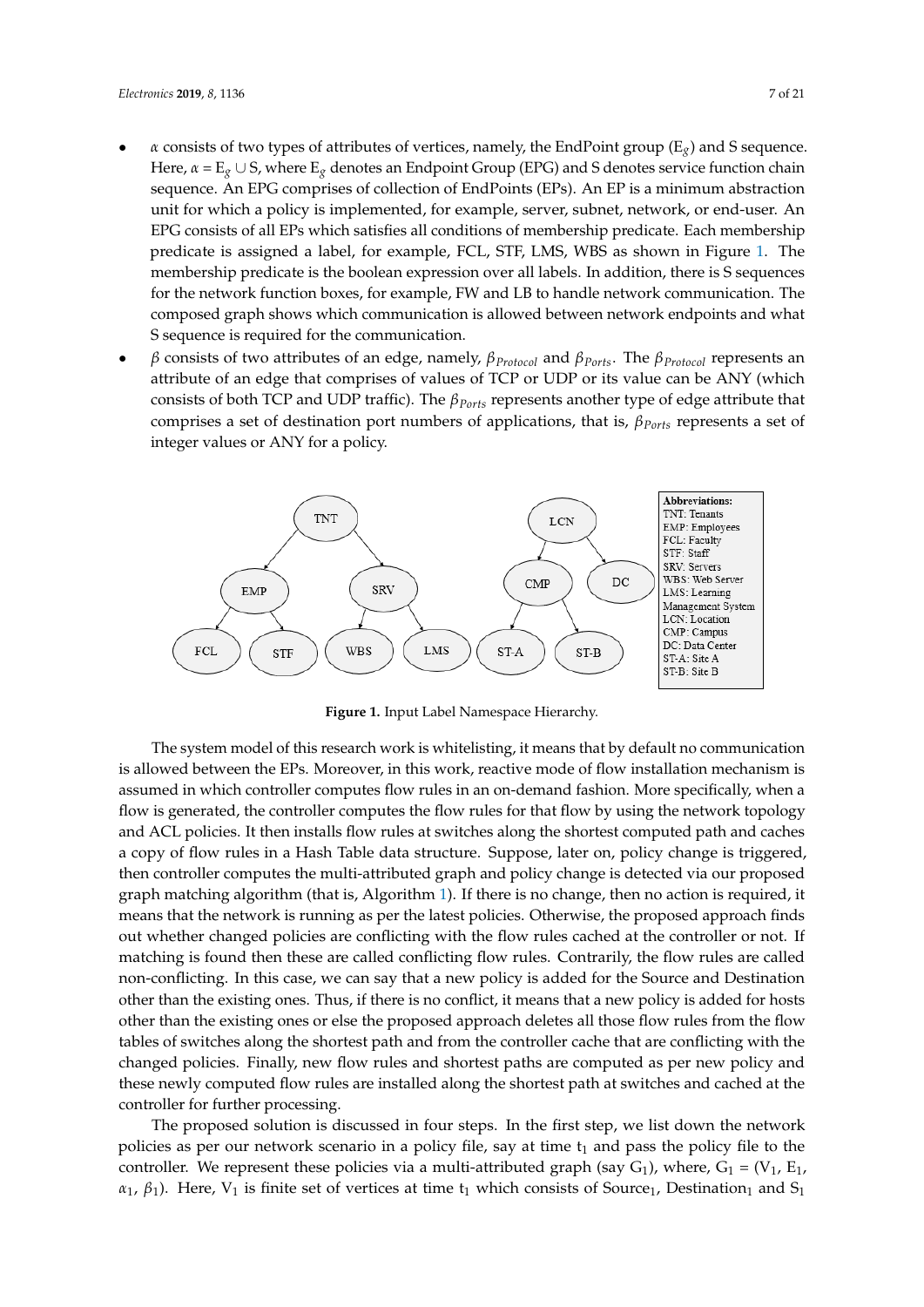- *α* consists of two types of attributes of vertices, namely, the EndPoint group (E*g*) and S sequence. Here, *α* = E*<sup>g</sup>* ∪ S, where E*<sup>g</sup>* denotes an Endpoint Group (EPG) and S denotes service function chain sequence. An EPG comprises of collection of EndPoints (EPs). An EP is a minimum abstraction unit for which a policy is implemented, for example, server, subnet, network, or end-user. An EPG consists of all EPs which satisfies all conditions of membership predicate. Each membership predicate is assigned a label, for example, FCL, STF, LMS, WBS as shown in Figure [1.](#page-6-0) The membership predicate is the boolean expression over all labels. In addition, there is S sequences for the network function boxes, for example, FW and LB to handle network communication. The composed graph shows which communication is allowed between network endpoints and what S sequence is required for the communication.
- *β* consists of two attributes of an edge, namely, *βProtocol* and *βPorts*. The *βProtocol* represents an attribute of an edge that comprises of values of TCP or UDP or its value can be ANY (which consists of both TCP and UDP traffic). The *βPorts* represents another type of edge attribute that comprises a set of destination port numbers of applications, that is, *βPorts* represents a set of integer values or ANY for a policy.

<span id="page-6-0"></span>

**Figure 1.** Input Label Namespace Hierarchy.

The system model of this research work is whitelisting, it means that by default no communication is allowed between the EPs. Moreover, in this work, reactive mode of flow installation mechanism is assumed in which controller computes flow rules in an on-demand fashion. More specifically, when a flow is generated, the controller computes the flow rules for that flow by using the network topology and ACL policies. It then installs flow rules at switches along the shortest computed path and caches a copy of flow rules in a Hash Table data structure. Suppose, later on, policy change is triggered, then controller computes the multi-attributed graph and policy change is detected via our proposed graph matching algorithm (that is, Algorithm [1\)](#page-13-0). If there is no change, then no action is required, it means that the network is running as per the latest policies. Otherwise, the proposed approach finds out whether changed policies are conflicting with the flow rules cached at the controller or not. If matching is found then these are called conflicting flow rules. Contrarily, the flow rules are called non-conflicting. In this case, we can say that a new policy is added for the Source and Destination other than the existing ones. Thus, if there is no conflict, it means that a new policy is added for hosts other than the existing ones or else the proposed approach deletes all those flow rules from the flow tables of switches along the shortest path and from the controller cache that are conflicting with the changed policies. Finally, new flow rules and shortest paths are computed as per new policy and these newly computed flow rules are installed along the shortest path at switches and cached at the controller for further processing.

The proposed solution is discussed in four steps. In the first step, we list down the network policies as per our network scenario in a policy file, say at time  $t_1$  and pass the policy file to the controller. We represent these policies via a multi-attributed graph (say  $G_1$ ), where,  $G_1 = (V_1, E_1,$  $\alpha_1$ ,  $\beta_1$ ). Here, V<sub>1</sub> is finite set of vertices at time t<sub>1</sub> which consists of Source<sub>1</sub>, Destination<sub>1</sub> and S<sub>1</sub>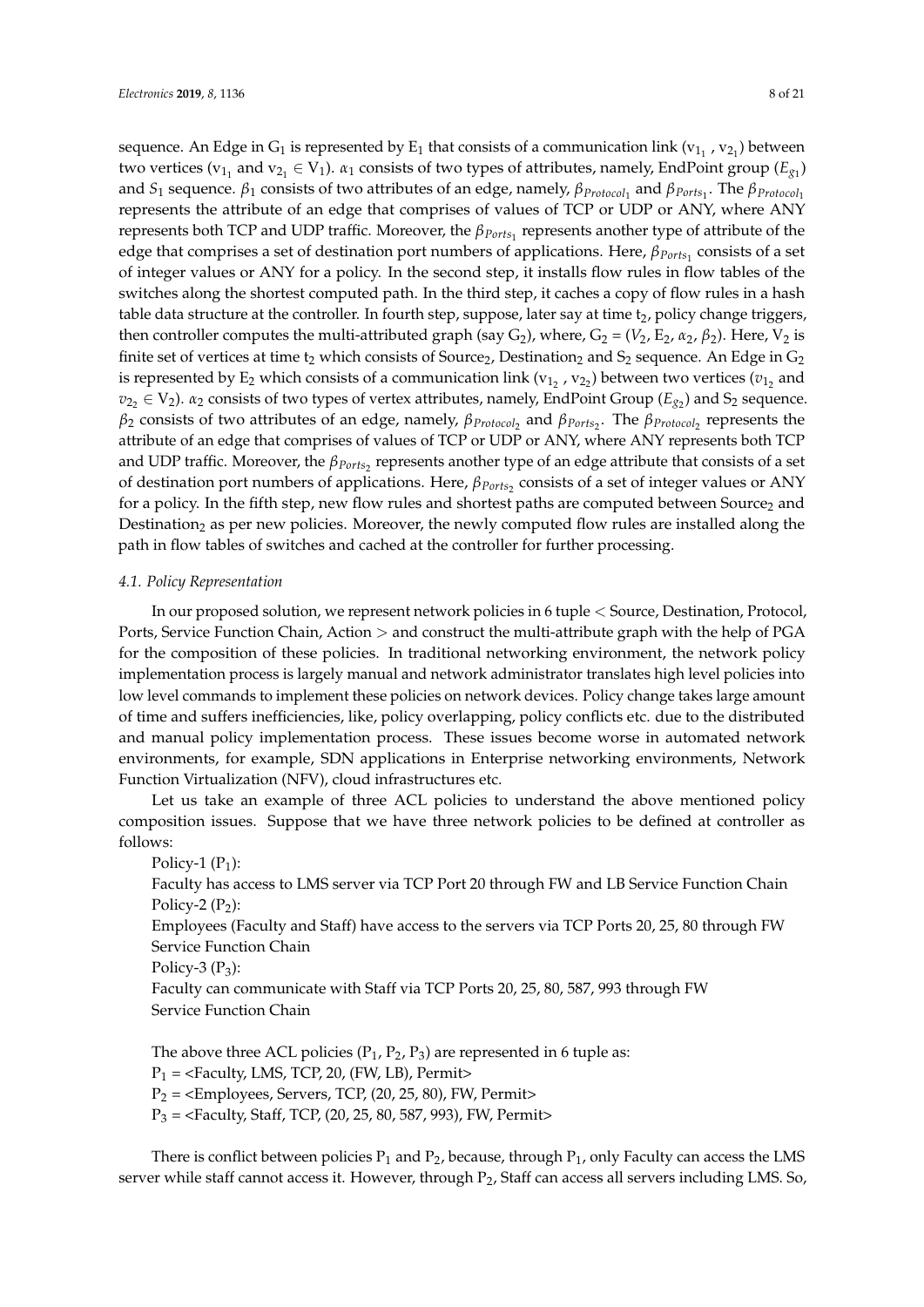sequence. An Edge in  $\mathrm{G}_1$  is represented by  $\mathrm{E}_1$  that consists of a communication link (v $_{1_1}$  , v $_{2_1}$ ) between two vertices ( $v_{1_1}$  and  $v_{2_1} \in V_1$ ).  $\alpha_1$  consists of two types of attributes, namely, EndPoint group ( $E_{g_1}$ ) and *S*<sup>1</sup> sequence. *β*<sup>1</sup> consists of two attributes of an edge, namely, *βProtocol*<sup>1</sup> and *βPorts*<sup>1</sup> . The *βProtocol*<sup>1</sup> represents the attribute of an edge that comprises of values of TCP or UDP or ANY, where ANY represents both TCP and UDP traffic. Moreover, the  $β_{\textit{Ports}_1}$  represents another type of attribute of the edge that comprises a set of destination port numbers of applications. Here,  $β_{Ports_1}$  consists of a set of integer values or ANY for a policy. In the second step, it installs flow rules in flow tables of the switches along the shortest computed path. In the third step, it caches a copy of flow rules in a hash table data structure at the controller. In fourth step, suppose, later say at time  $t<sub>2</sub>$ , policy change triggers, then controller computes the multi-attributed graph (say  $G_2$ ), where,  $G_2 = (V_2, E_2, \alpha_2, \beta_2)$ . Here,  $V_2$  is finite set of vertices at time  $t_2$  which consists of Source<sub>2</sub>, Destination<sub>2</sub> and  $S_2$  sequence. An Edge in  $G_2$ is represented by  $\mathrm{E}_2$  which consists of a communication link (v<sub>12</sub> , v<sub>22</sub>) between two vertices ( $v_{1_2}$  and  $v_{2_2} \in V_2$ ).  $\alpha_2$  consists of two types of vertex attributes, namely, EndPoint Group ( $E_{g_2}$ ) and  $S_2$  sequence. *β*<sub>2</sub> consists of two attributes of an edge, namely,  $β_{Protocol_2}$  and  $β_{Ports_2}$ . The  $β_{Protocol_2}$  represents the attribute of an edge that comprises of values of TCP or UDP or ANY, where ANY represents both TCP and UDP traffic. Moreover, the  $\beta_{Ports_2}$  represents another type of an edge attribute that consists of a set of destination port numbers of applications. Here, *βPorts*<sup>2</sup> consists of a set of integer values or ANY for a policy. In the fifth step, new flow rules and shortest paths are computed between Source2 and Destination<sub>2</sub> as per new policies. Moreover, the newly computed flow rules are installed along the path in flow tables of switches and cached at the controller for further processing.

#### <span id="page-7-0"></span>*4.1. Policy Representation*

In our proposed solution, we represent network policies in 6 tuple < Source, Destination, Protocol, Ports, Service Function Chain, Action > and construct the multi-attribute graph with the help of PGA for the composition of these policies. In traditional networking environment, the network policy implementation process is largely manual and network administrator translates high level policies into low level commands to implement these policies on network devices. Policy change takes large amount of time and suffers inefficiencies, like, policy overlapping, policy conflicts etc. due to the distributed and manual policy implementation process. These issues become worse in automated network environments, for example, SDN applications in Enterprise networking environments, Network Function Virtualization (NFV), cloud infrastructures etc.

Let us take an example of three ACL policies to understand the above mentioned policy composition issues. Suppose that we have three network policies to be defined at controller as follows:

Policy-1  $(P_1)$ :

Faculty has access to LMS server via TCP Port 20 through FW and LB Service Function Chain Policy-2  $(P_2)$ :

Employees (Faculty and Staff) have access to the servers via TCP Ports 20, 25, 80 through FW Service Function Chain

Policy-3  $(P_3)$ :

Faculty can communicate with Staff via TCP Ports 20, 25, 80, 587, 993 through FW Service Function Chain

The above three ACL policies  $(P_1, P_2, P_3)$  are represented in 6 tuple as:  $P_1$  = <Faculty, LMS, TCP, 20, (FW, LB), Permit>  $P_2$  = <Employees, Servers, TCP, (20, 25, 80), FW, Permit>  $P_3$  = <Faculty, Staff, TCP, (20, 25, 80, 587, 993), FW, Permit>

There is conflict between policies  $P_1$  and  $P_2$ , because, through  $P_1$ , only Faculty can access the LMS server while staff cannot access it. However, through P<sub>2</sub>, Staff can access all servers including LMS. So,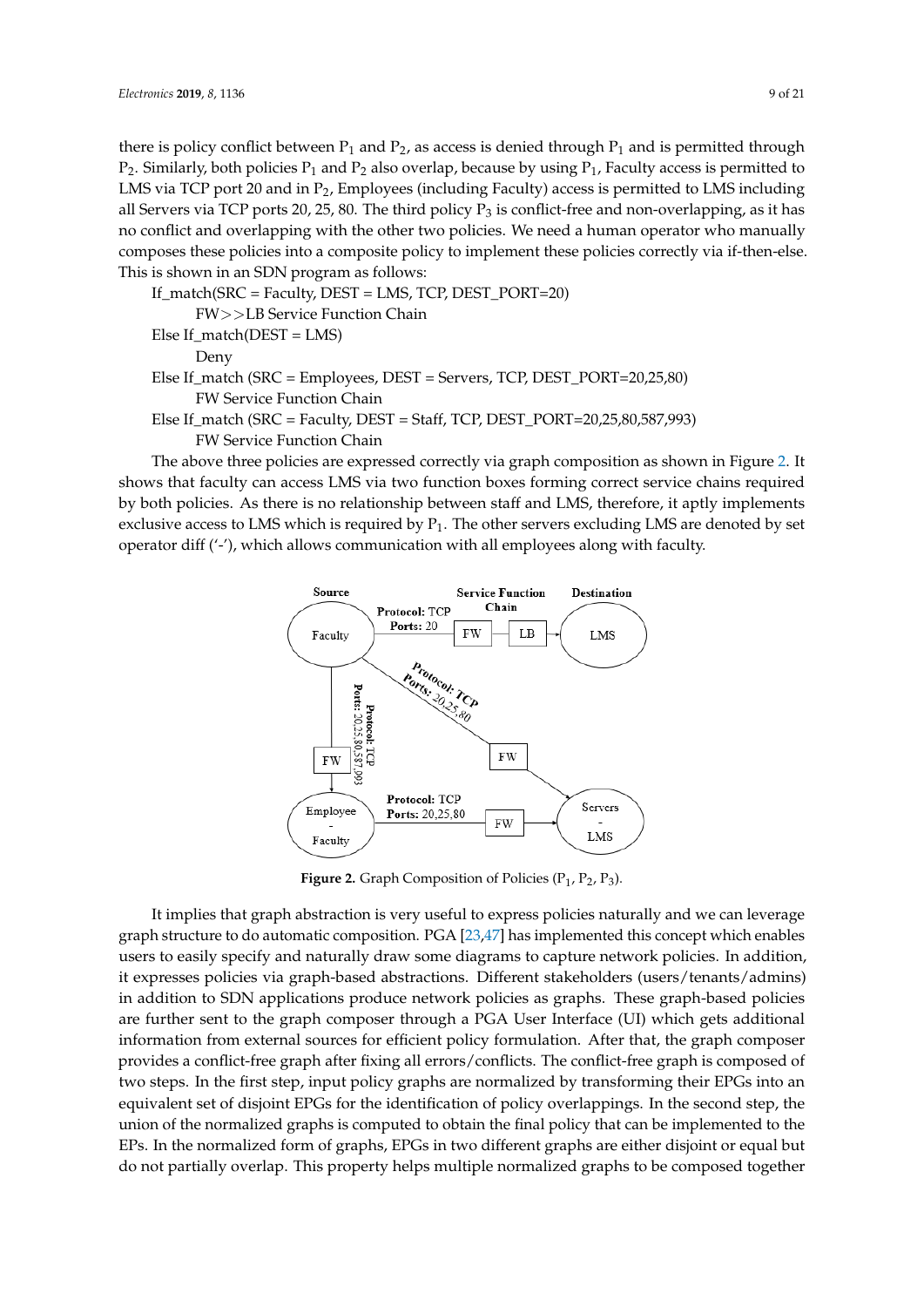there is policy conflict between  $P_1$  and  $P_2$ , as access is denied through  $P_1$  and is permitted through  $P_2$ . Similarly, both policies  $P_1$  and  $P_2$  also overlap, because by using  $P_1$ , Faculty access is permitted to LMS via TCP port 20 and in  $P_2$ , Employees (including Faculty) access is permitted to LMS including all Servers via TCP ports 20, 25, 80. The third policy  $P_3$  is conflict-free and non-overlapping, as it has no conflict and overlapping with the other two policies. We need a human operator who manually composes these policies into a composite policy to implement these policies correctly via if-then-else. This is shown in an SDN program as follows:

```
If_match(SRC = Faculty, DEST = LMS, TCP, DEST_PORT=20)
     FW>>LB Service Function Chain
Else If_match(DEST = LMS)
     Deny
Else If_match (SRC = Employees, DEST = Servers, TCP, DEST_PORT=20,25,80)
     FW Service Function Chain
Else If_match (SRC = Faculty, DEST = Staff, TCP, DEST_PORT=20,25,80,587,993)
     FW Service Function Chain
```
<span id="page-8-0"></span>The above three policies are expressed correctly via graph composition as shown in Figure [2.](#page-8-0) It shows that faculty can access LMS via two function boxes forming correct service chains required by both policies. As there is no relationship between staff and LMS, therefore, it aptly implements exclusive access to LMS which is required by  $P_1$ . The other servers excluding LMS are denoted by set operator diff ('-'), which allows communication with all employees along with faculty.



**Figure 2.** Graph Composition of Policies  $(P_1, P_2, P_3)$ .

It implies that graph abstraction is very useful to express policies naturally and we can leverage graph structure to do automatic composition. PGA [\[23,](#page-18-17)[47\]](#page-19-19) has implemented this concept which enables users to easily specify and naturally draw some diagrams to capture network policies. In addition, it expresses policies via graph-based abstractions. Different stakeholders (users/tenants/admins) in addition to SDN applications produce network policies as graphs. These graph-based policies are further sent to the graph composer through a PGA User Interface (UI) which gets additional information from external sources for efficient policy formulation. After that, the graph composer provides a conflict-free graph after fixing all errors/conflicts. The conflict-free graph is composed of two steps. In the first step, input policy graphs are normalized by transforming their EPGs into an equivalent set of disjoint EPGs for the identification of policy overlappings. In the second step, the union of the normalized graphs is computed to obtain the final policy that can be implemented to the EPs. In the normalized form of graphs, EPGs in two different graphs are either disjoint or equal but do not partially overlap. This property helps multiple normalized graphs to be composed together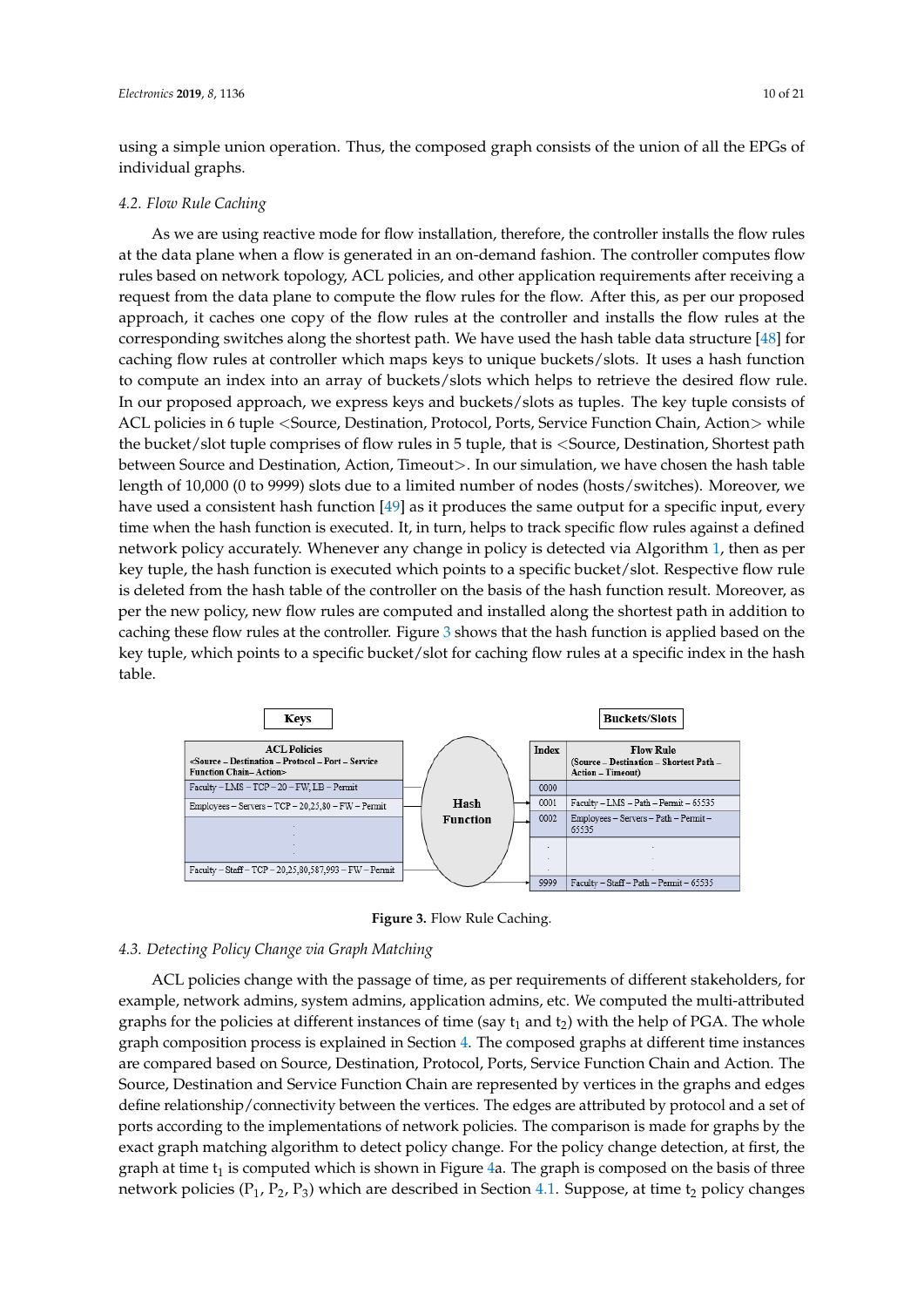individual graphs.

using a simple union operation. Thus, the composed graph consists of the union of all the EPGs of

## *4.2. Flow Rule Caching*

As we are using reactive mode for flow installation, therefore, the controller installs the flow rules at the data plane when a flow is generated in an on-demand fashion. The controller computes flow rules based on network topology, ACL policies, and other application requirements after receiving a request from the data plane to compute the flow rules for the flow. After this, as per our proposed approach, it caches one copy of the flow rules at the controller and installs the flow rules at the corresponding switches along the shortest path. We have used the hash table data structure [\[48\]](#page-20-0) for caching flow rules at controller which maps keys to unique buckets/slots. It uses a hash function to compute an index into an array of buckets/slots which helps to retrieve the desired flow rule. In our proposed approach, we express keys and buckets/slots as tuples. The key tuple consists of ACL policies in 6 tuple <Source, Destination, Protocol, Ports, Service Function Chain, Action> while the bucket/slot tuple comprises of flow rules in 5 tuple, that is <Source, Destination, Shortest path between Source and Destination, Action, Timeout >. In our simulation, we have chosen the hash table length of 10,000 (0 to 9999) slots due to a limited number of nodes (hosts/switches). Moreover, we have used a consistent hash function [\[49\]](#page-20-1) as it produces the same output for a specific input, every time when the hash function is executed. It, in turn, helps to track specific flow rules against a defined network policy accurately. Whenever any change in policy is detected via Algorithm [1,](#page-13-0) then as per key tuple, the hash function is executed which points to a specific bucket/slot. Respective flow rule is deleted from the hash table of the controller on the basis of the hash function result. Moreover, as per the new policy, new flow rules are computed and installed along the shortest path in addition to caching these flow rules at the controller. Figure [3](#page-9-0) shows that the hash function is applied based on the key tuple, which points to a specific bucket/slot for caching flow rules at a specific index in the hash table.

<span id="page-9-0"></span>

**Figure 3.** Flow Rule Caching.

## *4.3. Detecting Policy Change via Graph Matching*

ACL policies change with the passage of time, as per requirements of different stakeholders, for example, network admins, system admins, application admins, etc. We computed the multi-attributed graphs for the policies at different instances of time (say  $t_1$  and  $t_2$ ) with the help of PGA. The whole graph composition process is explained in Section [4.](#page-5-1) The composed graphs at different time instances are compared based on Source, Destination, Protocol, Ports, Service Function Chain and Action. The Source, Destination and Service Function Chain are represented by vertices in the graphs and edges define relationship/connectivity between the vertices. The edges are attributed by protocol and a set of ports according to the implementations of network policies. The comparison is made for graphs by the exact graph matching algorithm to detect policy change. For the policy change detection, at first, the graph at time  $t_1$  is computed which is shown in Figure [4a](#page-10-0). The graph is composed on the basis of three network policies ( $P_1$ ,  $P_2$ ,  $P_3$ ) which are described in Section [4.1.](#page-7-0) Suppose, at time t<sub>2</sub> policy changes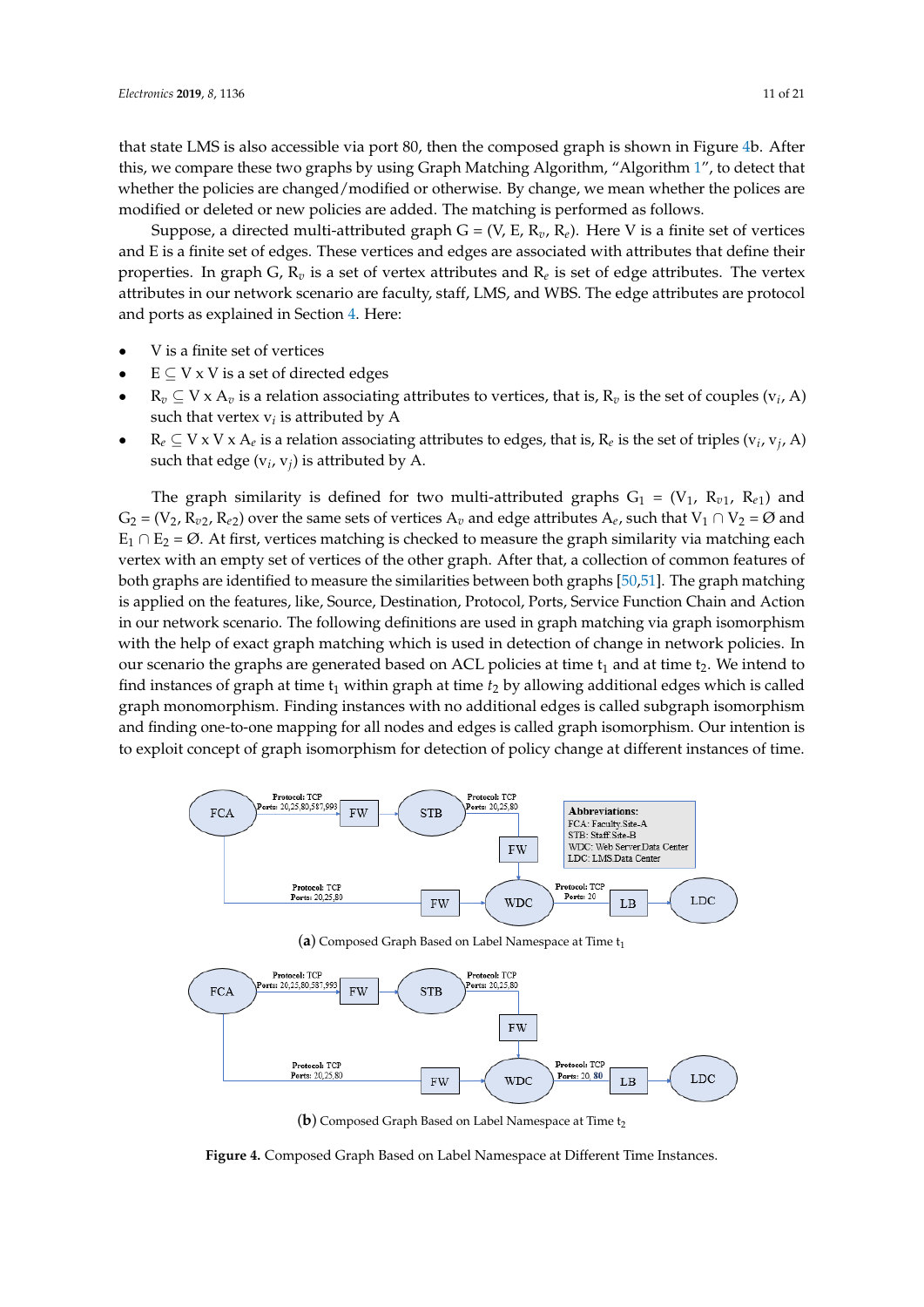that state LMS is also accessible via port 80, then the composed graph is shown in Figure [4b](#page-10-0). After this, we compare these two graphs by using Graph Matching Algorithm, "Algorithm [1"](#page-13-0), to detect that whether the policies are changed/modified or otherwise. By change, we mean whether the polices are modified or deleted or new policies are added. The matching is performed as follows.

Suppose, a directed multi-attributed graph  $G = (V, E, R_v, R_e)$ . Here V is a finite set of vertices and E is a finite set of edges. These vertices and edges are associated with attributes that define their properties. In graph G,  $\mathrm{R}_v$  is a set of vertex attributes and  $\mathrm{R}_e$  is set of edge attributes. The vertex attributes in our network scenario are faculty, staff, LMS, and WBS. The edge attributes are protocol and ports as explained in Section [4.](#page-5-1) Here:

- V is a finite set of vertices
- $E \subset V \times V$  is a set of directed edges
- $R_v \subseteq V \times A_v$  is a relation associating attributes to vertices, that is,  $R_v$  is the set of couples ( $v_i$ , A) such that vertex  $\mathrm{v}_i$  is attributed by  $\mathrm{A}$
- $R_e \subseteq V \times V \times A_e$  is a relation associating attributes to edges, that is,  $R_e$  is the set of triples ( $v_i$ ,  $v_j$ , A) such that edge  $(v_i, v_j)$  is attributed by A.

The graph similarity is defined for two multi-attributed graphs  $G_1 = (V_1, R_{\nu 1}, R_{\varepsilon 1})$  and  $G_2 = (V_2, R_{v2}, R_{e2})$  over the same sets of vertices  $A_v$  and edge attributes  $A_e$ , such that  $V_1 \cap V_2 = \emptyset$  and  $E_1 \cap E_2 = \emptyset$ . At first, vertices matching is checked to measure the graph similarity via matching each vertex with an empty set of vertices of the other graph. After that, a collection of common features of both graphs are identified to measure the similarities between both graphs [\[50,](#page-20-2)[51\]](#page-20-3). The graph matching is applied on the features, like, Source, Destination, Protocol, Ports, Service Function Chain and Action in our network scenario. The following definitions are used in graph matching via graph isomorphism with the help of exact graph matching which is used in detection of change in network policies. In our scenario the graphs are generated based on ACL policies at time  $t_1$  and at time  $t_2$ . We intend to find instances of graph at time t<sub>1</sub> within graph at time  $t_2$  by allowing additional edges which is called graph monomorphism. Finding instances with no additional edges is called subgraph isomorphism and finding one-to-one mapping for all nodes and edges is called graph isomorphism. Our intention is to exploit concept of graph isomorphism for detection of policy change at different instances of time.

<span id="page-10-0"></span>

Protocol: TCI Protocol: TCE orts: 20,25,80,587,993 Ports: 20.25.80 **FW FCA STR** FW Protocol: TCP Protocol: TCI Ports: 20,25,80 Ports: 20, 80

(a) Composed Graph Based on Label Namespace at Time t<sub>1</sub>

**WDC** 

**FW** 

LDC

LB

**Figure 4.** Composed Graph Based on Label Namespace at Different Time Instances.

<sup>(</sup>**b**) Composed Graph Based on Label Namespace at Time t<sub>2</sub>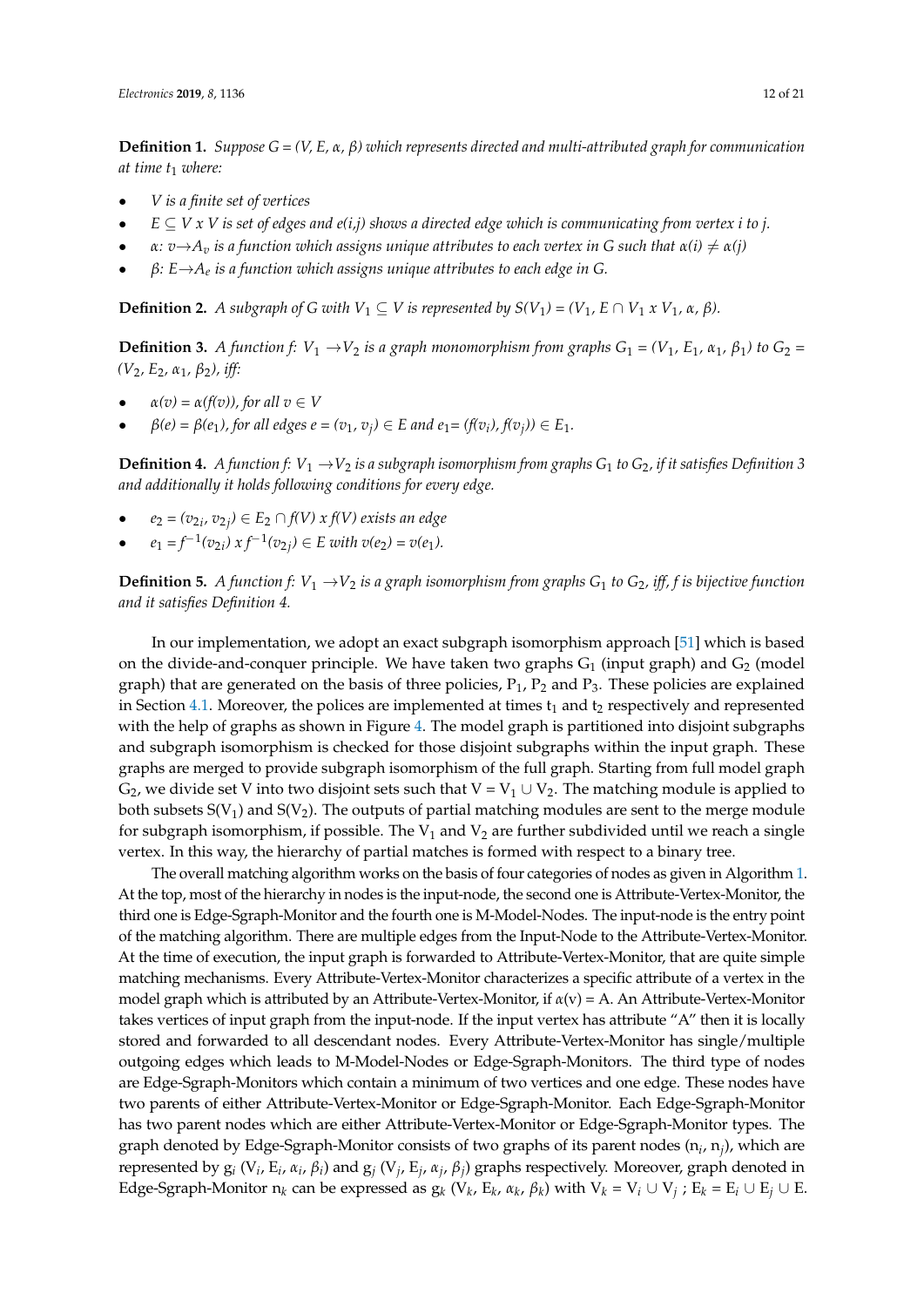**Definition 1.** *Suppose G = (V, E, α, β) which represents directed and multi-attributed graph for communication at time t*<sup>1</sup> *where:*

- *V is a finite set of vertices*
- $E \subseteq V x V$  is set of edges and e(i,j) shows a directed edge which is communicating from vertex i to j.
- $\alpha: v \rightarrow A_v$  *is a function which assigns unique attributes to each vertex in G such that*  $\alpha(i) \neq \alpha(j)$
- *β: E*→*A<sup>e</sup> is a function which assigns unique attributes to each edge in G.*

**Definition 2.** *A subgraph of G with*  $V_1 \subseteq V$  *is represented by*  $S(V_1) = (V_1, E \cap V_1 \times V_1, \alpha, \beta)$ .

**Definition 3.** *A function f:*  $V_1 \rightarrow V_2$  *is a graph monomorphism from graphs*  $G_1 = (V_1, E_1, \alpha_1, \beta_1)$  *to*  $G_2 =$ *(V*2*, E*2*, α*1*, β*2*), iff:*

- $\alpha(v) = \alpha(f(v))$ , for all  $v \in V$
- $\beta(e) = \beta(e_1)$ , for all edges  $e = (v_1, v_j) \in E$  and  $e_1 = (f(v_i), f(v_j)) \in E_1$ .

**Definition 4.** *A function f:*  $V_1 \rightarrow V_2$  *is a subgraph isomorphism from graphs*  $G_1$  *to*  $G_2$ *, if it satisfies Definition* 3 *and additionally it holds following conditions for every edge.*

- $e_2 = (v_{2i}, v_{2j}) \in E_2 \cap f(V)$  *x*  $f(V)$  *exists an edge*
- $e_1 = f^{-1}(v_{2i}) \times f^{-1}(v_{2j}) \in E$  with  $v(e_2) = v(e_1)$ .

**Definition 5.** *A function f:*  $V_1 \rightarrow V_2$  *is a graph isomorphism from graphs G*<sub>1</sub> *to G*<sub>2</sub>*, iff, f is bijective function and it satisfies Definition 4.*

In our implementation, we adopt an exact subgraph isomorphism approach [\[51\]](#page-20-3) which is based on the divide-and-conquer principle. We have taken two graphs  $G_1$  (input graph) and  $G_2$  (model graph) that are generated on the basis of three policies,  $P_1$ ,  $P_2$  and  $P_3$ . These policies are explained in Section [4.1.](#page-7-0) Moreover, the polices are implemented at times  $t_1$  and  $t_2$  respectively and represented with the help of graphs as shown in Figure [4.](#page-10-0) The model graph is partitioned into disjoint subgraphs and subgraph isomorphism is checked for those disjoint subgraphs within the input graph. These graphs are merged to provide subgraph isomorphism of the full graph. Starting from full model graph  $G_2$ , we divide set V into two disjoint sets such that  $V = V_1 \cup V_2$ . The matching module is applied to both subsets  $S(V_1)$  and  $S(V_2)$ . The outputs of partial matching modules are sent to the merge module for subgraph isomorphism, if possible. The  $V_1$  and  $V_2$  are further subdivided until we reach a single vertex. In this way, the hierarchy of partial matches is formed with respect to a binary tree.

The overall matching algorithm works on the basis of four categories of nodes as given in Algorithm [1.](#page-13-0) At the top, most of the hierarchy in nodes is the input-node, the second one is Attribute-Vertex-Monitor, the third one is Edge-Sgraph-Monitor and the fourth one is M-Model-Nodes. The input-node is the entry point of the matching algorithm. There are multiple edges from the Input-Node to the Attribute-Vertex-Monitor. At the time of execution, the input graph is forwarded to Attribute-Vertex-Monitor, that are quite simple matching mechanisms. Every Attribute-Vertex-Monitor characterizes a specific attribute of a vertex in the model graph which is attributed by an Attribute-Vertex-Monitor, if *α*(v) = A. An Attribute-Vertex-Monitor takes vertices of input graph from the input-node. If the input vertex has attribute "A" then it is locally stored and forwarded to all descendant nodes. Every Attribute-Vertex-Monitor has single/multiple outgoing edges which leads to M-Model-Nodes or Edge-Sgraph-Monitors. The third type of nodes are Edge-Sgraph-Monitors which contain a minimum of two vertices and one edge. These nodes have two parents of either Attribute-Vertex-Monitor or Edge-Sgraph-Monitor. Each Edge-Sgraph-Monitor has two parent nodes which are either Attribute-Vertex-Monitor or Edge-Sgraph-Monitor types. The graph denoted by Edge-Sgraph-Monitor consists of two graphs of its parent nodes (n*<sup>i</sup>* , n*<sup>j</sup>* ), which are represented by  $g_i$  (V<sub>*i*</sub>, E<sub>*i*</sub>, α<sub>*i*</sub>, β<sub>*i*</sub>) and  $g_j$  (V<sub>*j*</sub>, E<sub>*j*</sub>, α<sub>*j*</sub>, β<sub>*j*</sub>) graphs respectively. Moreover, graph denoted in Edge-Sgraph-Monitor  $n_k$  can be expressed as  $g_k$  ( $V_k$ ,  $E_k$ ,  $\alpha_k$ ,  $\beta_k$ ) with  $V_k = V_i \cup V_j$ ;  $E_k = E_i \cup E_j \cup E_j$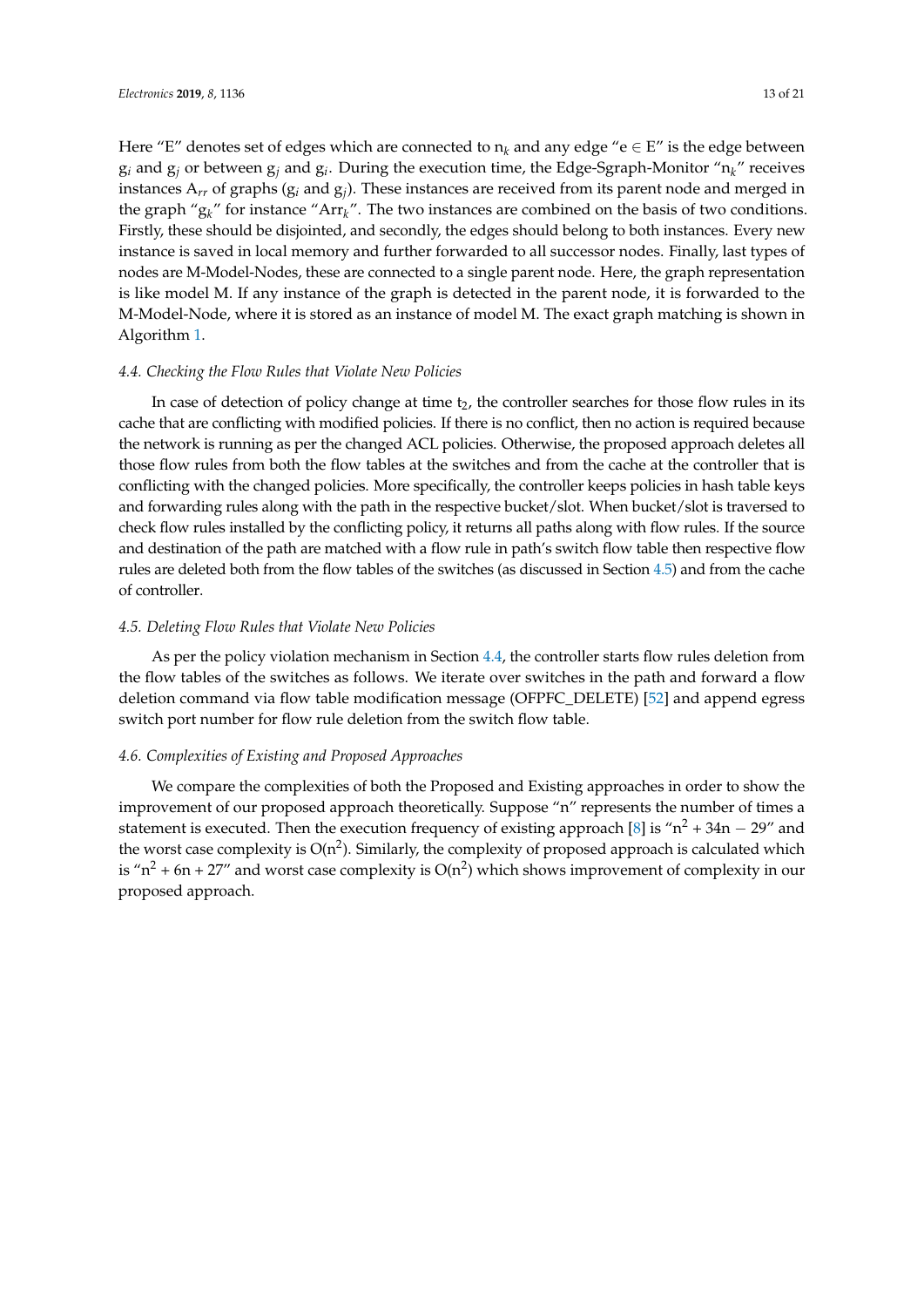Here "E" denotes set of edges which are connected to  $n_k$  and any edge "e  $\in E$ " is the edge between g*<sup>i</sup>* and g*<sup>j</sup>* or between g*<sup>j</sup>* and g*<sup>i</sup>* . During the execution time, the Edge-Sgraph-Monitor "n*k*" receives instances A*rr* of graphs (g*<sup>i</sup>* and g*<sup>j</sup>* ). These instances are received from its parent node and merged in the graph "g*k*" for instance "Arr*k*". The two instances are combined on the basis of two conditions. Firstly, these should be disjointed, and secondly, the edges should belong to both instances. Every new instance is saved in local memory and further forwarded to all successor nodes. Finally, last types of nodes are M-Model-Nodes, these are connected to a single parent node. Here, the graph representation is like model M. If any instance of the graph is detected in the parent node, it is forwarded to the M-Model-Node, where it is stored as an instance of model M. The exact graph matching is shown in Algorithm [1.](#page-13-0)

#### <span id="page-12-2"></span>*4.4. Checking the Flow Rules that Violate New Policies*

In case of detection of policy change at time  $t<sub>2</sub>$ , the controller searches for those flow rules in its cache that are conflicting with modified policies. If there is no conflict, then no action is required because the network is running as per the changed ACL policies. Otherwise, the proposed approach deletes all those flow rules from both the flow tables at the switches and from the cache at the controller that is conflicting with the changed policies. More specifically, the controller keeps policies in hash table keys and forwarding rules along with the path in the respective bucket/slot. When bucket/slot is traversed to check flow rules installed by the conflicting policy, it returns all paths along with flow rules. If the source and destination of the path are matched with a flow rule in path's switch flow table then respective flow rules are deleted both from the flow tables of the switches (as discussed in Section [4.5\)](#page-12-1) and from the cache of controller.

#### <span id="page-12-1"></span>*4.5. Deleting Flow Rules that Violate New Policies*

As per the policy violation mechanism in Section [4.4,](#page-12-2) the controller starts flow rules deletion from the flow tables of the switches as follows. We iterate over switches in the path and forward a flow deletion command via flow table modification message (OFPFC\_DELETE) [\[52\]](#page-20-4) and append egress switch port number for flow rule deletion from the switch flow table.

#### <span id="page-12-0"></span>*4.6. Complexities of Existing and Proposed Approaches*

We compare the complexities of both the Proposed and Existing approaches in order to show the improvement of our proposed approach theoretically. Suppose "n" represents the number of times a statement is executed. Then the execution frequency of existing approach [\[8\]](#page-18-2) is " $n^2 + 34n - 29$ " and the worst case complexity is  $O(n^2)$ . Similarly, the complexity of proposed approach is calculated which is " $n^2$  + 6n + 27″ and worst case complexity is O( $n^2$ ) which shows improvement of complexity in our proposed approach.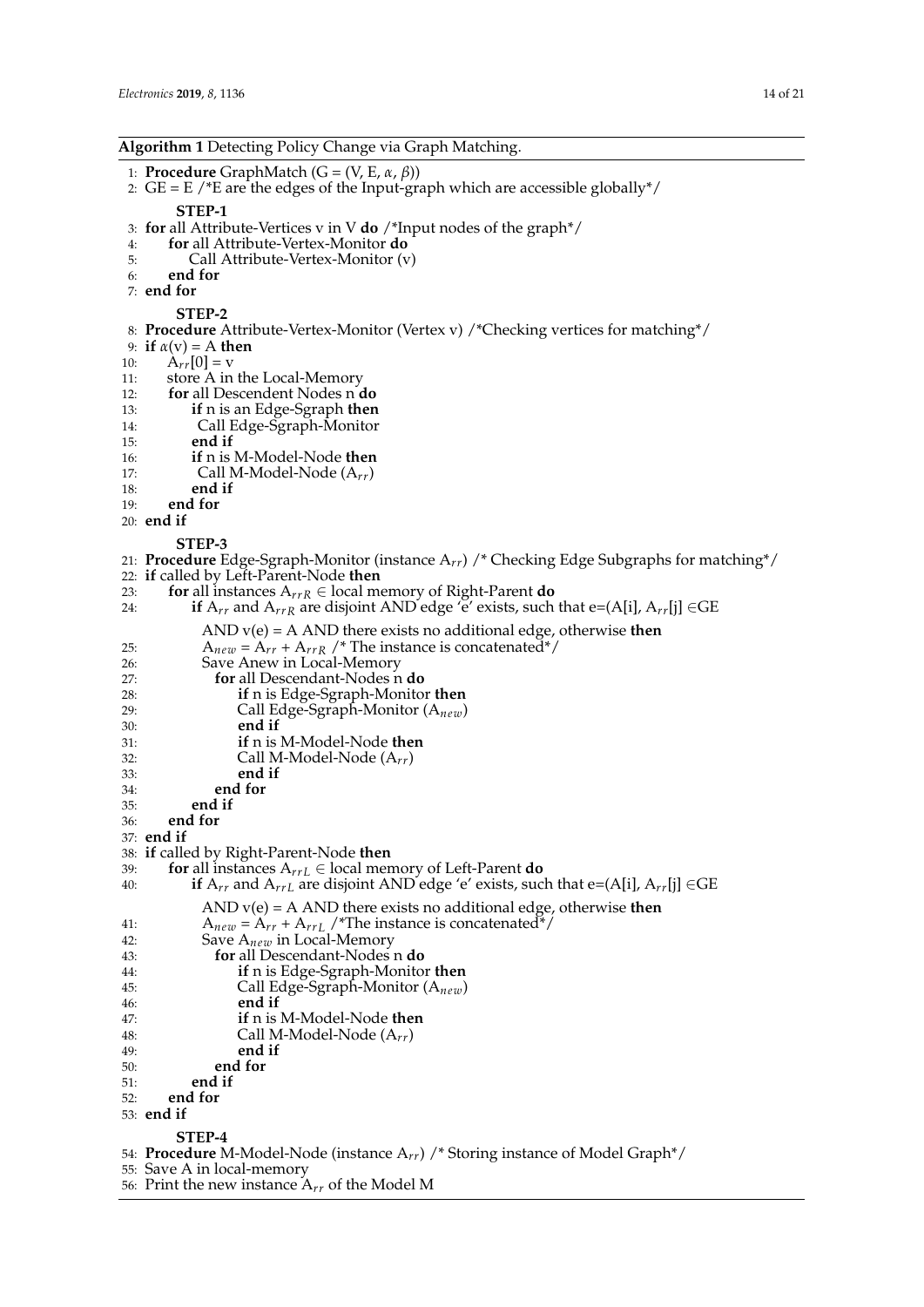<span id="page-13-0"></span>

| <b>Algorithm 1</b> Detecting Policy Change via Graph Matching. |  |  |
|----------------------------------------------------------------|--|--|
|----------------------------------------------------------------|--|--|

1: **Procedure** GraphMatch (G = (V, E, *α*, *β*))

- 2:  $GE = E$  /\*E are the edges of the Input-graph which are accessible globally\*/ **STEP-1** 3: **for** all Attribute-Vertices v in V **do** /\*Input nodes of the graph\*/
- 
- 4: **for** all Attribute-Vertex-Monitor **do**
- Call Attribute-Vertex-Monitor (v)
- 6: **end for**
- 7: **end for**

**STEP-2**

- 8: **Procedure** Attribute-Vertex-Monitor (Vertex v) /\*Checking vertices for matching\*/
- 9: **if**  $\alpha$ (**v**) = A **then**<br>10:  $A_{rr}[0] = v$
- 10:  $\hat{A}_{rr}[0] = v$ <br>11: store A in
- store A in the Local-Memory
- 12: **for** all Descendent Nodes n **do**
- **if** n is an Edge-Sgraph **then**
- 14: Call Edge-Sgraph-Monitor
- 15: **end if**
- 16: **if** n is M-Model-Node **then**
- 17: **Call M-Model-Node**  $(A_{rr})$ <br>18: **end if**
- end if
- 19: **end for**
- 20: **end if**

**STEP-3**

- 21: **Procedure** Edge-Sgraph-Monitor (instance A*rr*) /\* Checking Edge Subgraphs for matching\*/ 22: **if** called by Left-Parent-Node **then**
- 
- 23: **for** all instances  $A_{rrR} \in$  local memory of Right-Parent **do** 24. **if**  $A_{rr}$  and  $A_{rr}$  are disjoint AND edge 'e' exists, such **if**  $A_{rr}$  and  $A_{rrR}$  are disjoint AND edge 'e' exists, such that e=(A[i],  $A_{rr}$ [j]  $\in$ GE AND v(e) = A AND there exists no additional edge, otherwise **then** 25:  $A_{new} = A_{rr} + A_{rrR}$  /\* The instance is concatenated\*/<br>26: Save Anew in Local-Memory 26: Save Anew in Local-Memory<br>27: **for** all Descendant-Nodes n 27: **for** all Descendant-Nodes n **do** 28: **if** n is Edge-Sgraph-Monitor **then** 29: Call Edge-Sgraph-Monitor (A*new*) 30: **end if** 31: **if** n is M-Model-Node **then**  $32:$  Call M-Model-Node  $(A_{rr})$ <br> $33:$  **end if** 33: **end if**
- 34: **end for**
- 35: **end if**
- 36: **end for**
- 37: **end if**
- 38: **if** called by Right-Parent-Node **then**
- 39: **for** all instances  $A_{r r L} \in \text{local memory of Left-Parent } \mathbf{do}$ <br>40: **if**  $A_{r r}$  and  $A_{r r L}$  are disjoint AND edge 'e' exists, suc
- **if**  $A_{rr}$  and  $A_{rrL}$  are disjoint AND edge 'e' exists, such that e=(A[i],  $A_{rr}$ [j]  $\in$ GE
	- AND v(e) = A AND there exists no additional edge, otherwise **then**
- 41:  $A_{new} = A_{rr} + A_{rrL}$  /\*The instance is concatenated\*/<br>42: Save  $A_{new}$  in Local-Memory
- 42: Save  $A_{new}$  in Local-Memory<br>43: **for** all Descendant-Nodes
- 43: **for** all Descendant-Nodes n **do**
- 44: **if** n is Edge-Sgraph-Monitor **then**
- 45: Call Edge-Sgraph-Monitor (A*new*)
- end if
- 47: **if** n is M-Model-Node **then**
- 48: **Call M-Model-Node**  $(A_{rr})$ <br>49: **end if**
- 49: **end if**
- 50: **end for**
- 51: **end if**
- 52: **end for**
- 53: **end if**
- **STEP-4**
- 54: **Procedure** M-Model-Node (instance A*rr*) /\* Storing instance of Model Graph\*/
- 55: Save A in local-memory
- 56: Print the new instance A*rr* of the Model M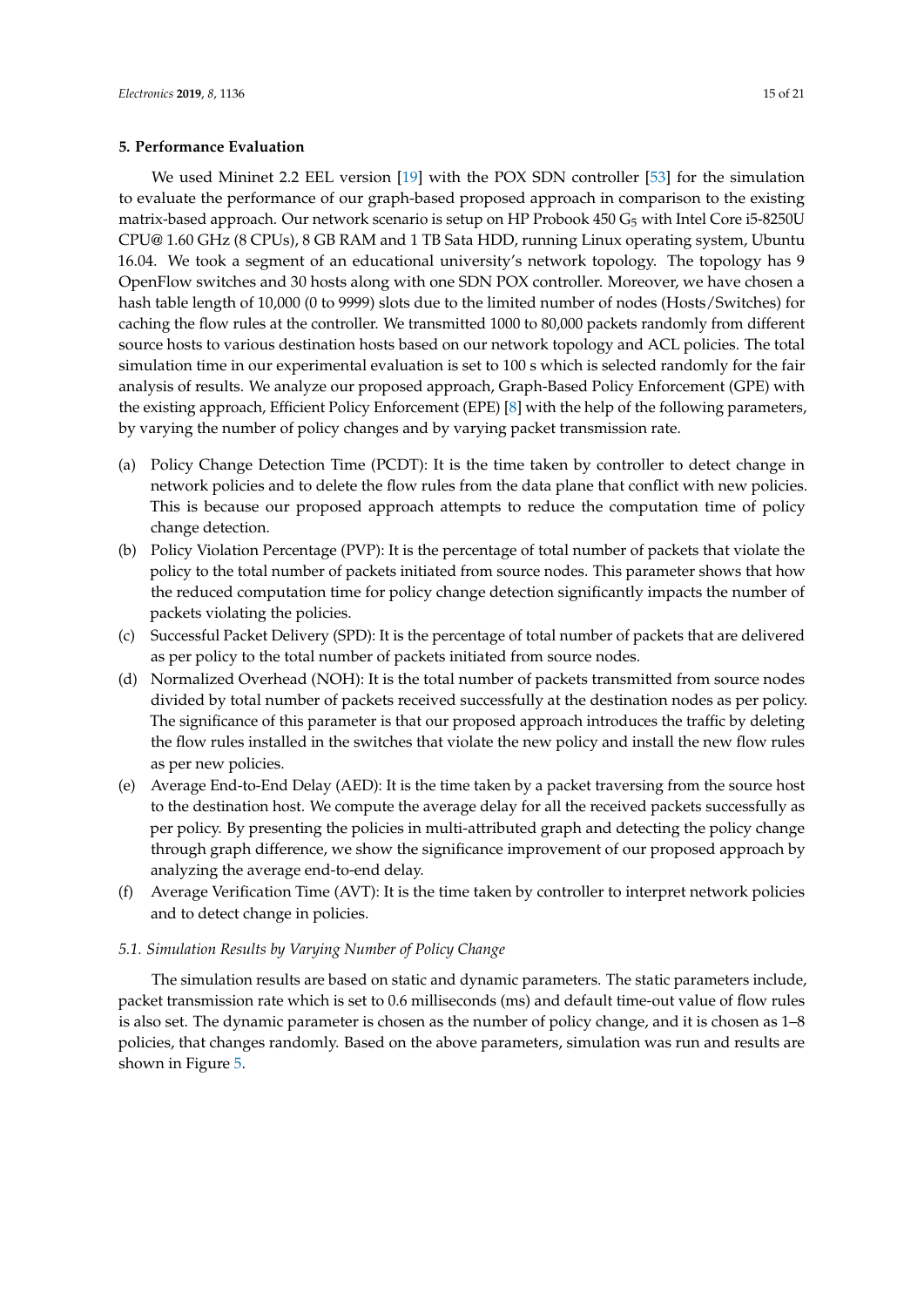#### <span id="page-14-0"></span>**5. Performance Evaluation**

We used Mininet 2.2 EEL version [\[19\]](#page-18-13) with the POX SDN controller [\[53\]](#page-20-5) for the simulation to evaluate the performance of our graph-based proposed approach in comparison to the existing matrix-based approach. Our network scenario is setup on HP Probook 450  $G_5$  with Intel Core i5-8250U CPU@ 1.60 GHz (8 CPUs), 8 GB RAM and 1 TB Sata HDD, running Linux operating system, Ubuntu 16.04. We took a segment of an educational university's network topology. The topology has 9 OpenFlow switches and 30 hosts along with one SDN POX controller. Moreover, we have chosen a hash table length of 10,000 (0 to 9999) slots due to the limited number of nodes (Hosts/Switches) for caching the flow rules at the controller. We transmitted 1000 to 80,000 packets randomly from different source hosts to various destination hosts based on our network topology and ACL policies. The total simulation time in our experimental evaluation is set to 100 s which is selected randomly for the fair analysis of results. We analyze our proposed approach, Graph-Based Policy Enforcement (GPE) with the existing approach, Efficient Policy Enforcement (EPE) [\[8\]](#page-18-2) with the help of the following parameters, by varying the number of policy changes and by varying packet transmission rate.

- (a) Policy Change Detection Time (PCDT): It is the time taken by controller to detect change in network policies and to delete the flow rules from the data plane that conflict with new policies. This is because our proposed approach attempts to reduce the computation time of policy change detection.
- (b) Policy Violation Percentage (PVP): It is the percentage of total number of packets that violate the policy to the total number of packets initiated from source nodes. This parameter shows that how the reduced computation time for policy change detection significantly impacts the number of packets violating the policies.
- (c) Successful Packet Delivery (SPD): It is the percentage of total number of packets that are delivered as per policy to the total number of packets initiated from source nodes.
- (d) Normalized Overhead (NOH): It is the total number of packets transmitted from source nodes divided by total number of packets received successfully at the destination nodes as per policy. The significance of this parameter is that our proposed approach introduces the traffic by deleting the flow rules installed in the switches that violate the new policy and install the new flow rules as per new policies.
- (e) Average End-to-End Delay (AED): It is the time taken by a packet traversing from the source host to the destination host. We compute the average delay for all the received packets successfully as per policy. By presenting the policies in multi-attributed graph and detecting the policy change through graph difference, we show the significance improvement of our proposed approach by analyzing the average end-to-end delay.
- (f) Average Verification Time (AVT): It is the time taken by controller to interpret network policies and to detect change in policies.

#### *5.1. Simulation Results by Varying Number of Policy Change*

The simulation results are based on static and dynamic parameters. The static parameters include, packet transmission rate which is set to 0.6 milliseconds (ms) and default time-out value of flow rules is also set. The dynamic parameter is chosen as the number of policy change, and it is chosen as 1–8 policies, that changes randomly. Based on the above parameters, simulation was run and results are shown in Figure [5.](#page-15-0)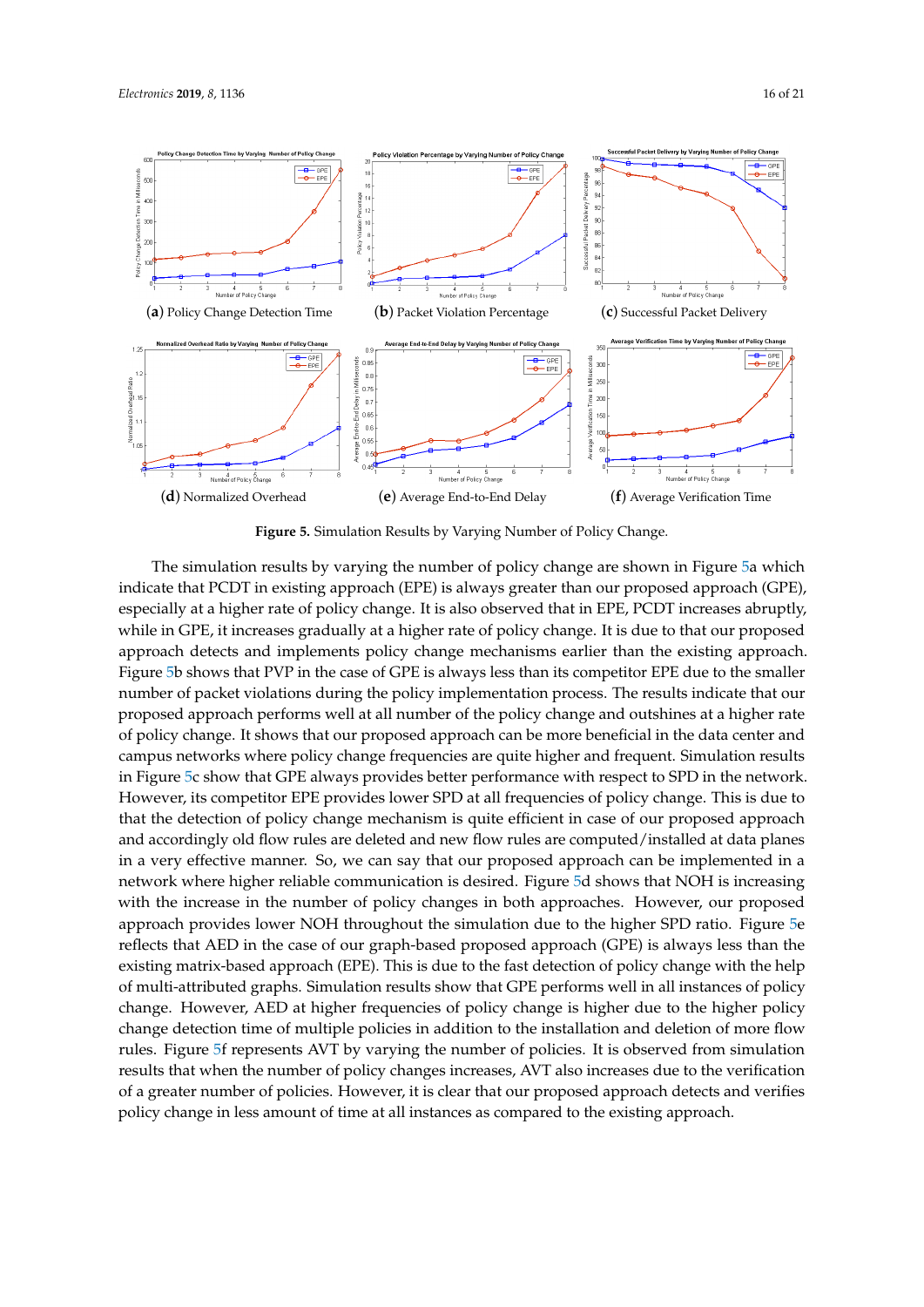

<span id="page-15-0"></span>

**Figure 5.** Simulation Results by Varying Number of Policy Change.

The simulation results by varying the number of policy change are shown in Figure [5a](#page-15-0) which indicate that PCDT in existing approach (EPE) is always greater than our proposed approach (GPE), especially at a higher rate of policy change. It is also observed that in EPE, PCDT increases abruptly, while in GPE, it increases gradually at a higher rate of policy change. It is due to that our proposed approach detects and implements policy change mechanisms earlier than the existing approach. Figure [5b](#page-15-0) shows that PVP in the case of GPE is always less than its competitor EPE due to the smaller number of packet violations during the policy implementation process. The results indicate that our proposed approach performs well at all number of the policy change and outshines at a higher rate of policy change. It shows that our proposed approach can be more beneficial in the data center and campus networks where policy change frequencies are quite higher and frequent. Simulation results in Figure [5c](#page-15-0) show that GPE always provides better performance with respect to SPD in the network. However, its competitor EPE provides lower SPD at all frequencies of policy change. This is due to that the detection of policy change mechanism is quite efficient in case of our proposed approach and accordingly old flow rules are deleted and new flow rules are computed/installed at data planes in a very effective manner. So, we can say that our proposed approach can be implemented in a network where higher reliable communication is desired. Figure [5d](#page-15-0) shows that NOH is increasing with the increase in the number of policy changes in both approaches. However, our proposed approach provides lower NOH throughout the simulation due to the higher SPD ratio. Figure [5e](#page-15-0) reflects that AED in the case of our graph-based proposed approach (GPE) is always less than the existing matrix-based approach (EPE). This is due to the fast detection of policy change with the help of multi-attributed graphs. Simulation results show that GPE performs well in all instances of policy change. However, AED at higher frequencies of policy change is higher due to the higher policy change detection time of multiple policies in addition to the installation and deletion of more flow rules. Figure [5f](#page-15-0) represents AVT by varying the number of policies. It is observed from simulation results that when the number of policy changes increases, AVT also increases due to the verification of a greater number of policies. However, it is clear that our proposed approach detects and verifies policy change in less amount of time at all instances as compared to the existing approach.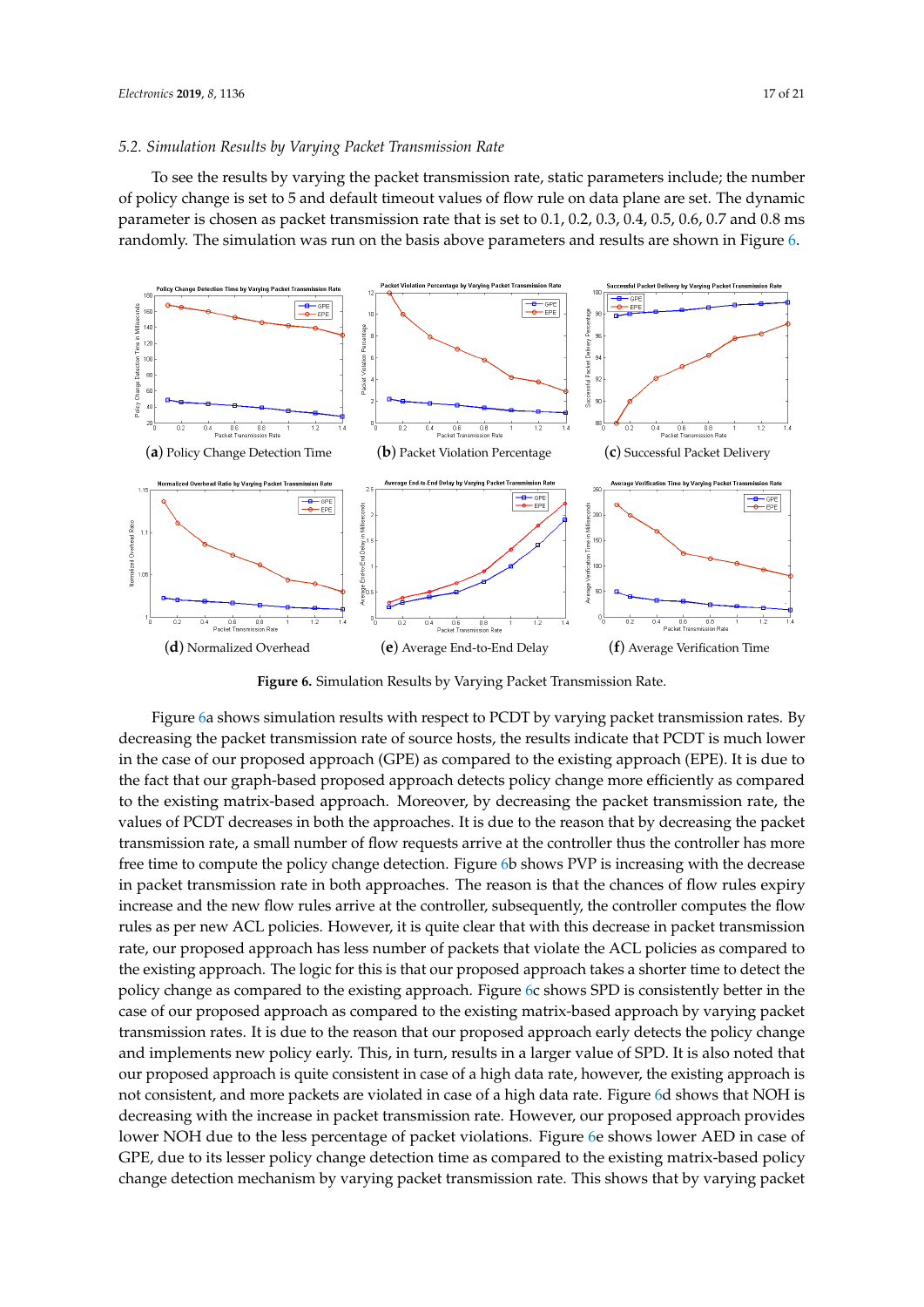#### *5.2. Simulation Results by Varying Packet Transmission Rate*

To see the results by varying the packet transmission rate, static parameters include; the number of policy change is set to 5 and default timeout values of flow rule on data plane are set. The dynamic parameter is chosen as packet transmission rate that is set to 0.1, 0.2, 0.3, 0.4, 0.5, 0.6, 0.7 and 0.8 ms randomly. The simulation was run on the basis above parameters and results are shown in Figure [6.](#page-16-0)

<span id="page-16-0"></span>

**Figure 6.** Simulation Results by Varying Packet Transmission Rate.

Figure [6a](#page-16-0) shows simulation results with respect to PCDT by varying packet transmission rates. By decreasing the packet transmission rate of source hosts, the results indicate that PCDT is much lower in the case of our proposed approach (GPE) as compared to the existing approach (EPE). It is due to the fact that our graph-based proposed approach detects policy change more efficiently as compared to the existing matrix-based approach. Moreover, by decreasing the packet transmission rate, the values of PCDT decreases in both the approaches. It is due to the reason that by decreasing the packet transmission rate, a small number of flow requests arrive at the controller thus the controller has more free time to compute the policy change detection. Figure [6b](#page-16-0) shows PVP is increasing with the decrease in packet transmission rate in both approaches. The reason is that the chances of flow rules expiry increase and the new flow rules arrive at the controller, subsequently, the controller computes the flow rules as per new ACL policies. However, it is quite clear that with this decrease in packet transmission rate, our proposed approach has less number of packets that violate the ACL policies as compared to the existing approach. The logic for this is that our proposed approach takes a shorter time to detect the policy change as compared to the existing approach. Figure [6c](#page-16-0) shows SPD is consistently better in the case of our proposed approach as compared to the existing matrix-based approach by varying packet transmission rates. It is due to the reason that our proposed approach early detects the policy change and implements new policy early. This, in turn, results in a larger value of SPD. It is also noted that our proposed approach is quite consistent in case of a high data rate, however, the existing approach is not consistent, and more packets are violated in case of a high data rate. Figure [6d](#page-16-0) shows that NOH is decreasing with the increase in packet transmission rate. However, our proposed approach provides lower NOH due to the less percentage of packet violations. Figure [6e](#page-16-0) shows lower AED in case of GPE, due to its lesser policy change detection time as compared to the existing matrix-based policy change detection mechanism by varying packet transmission rate. This shows that by varying packet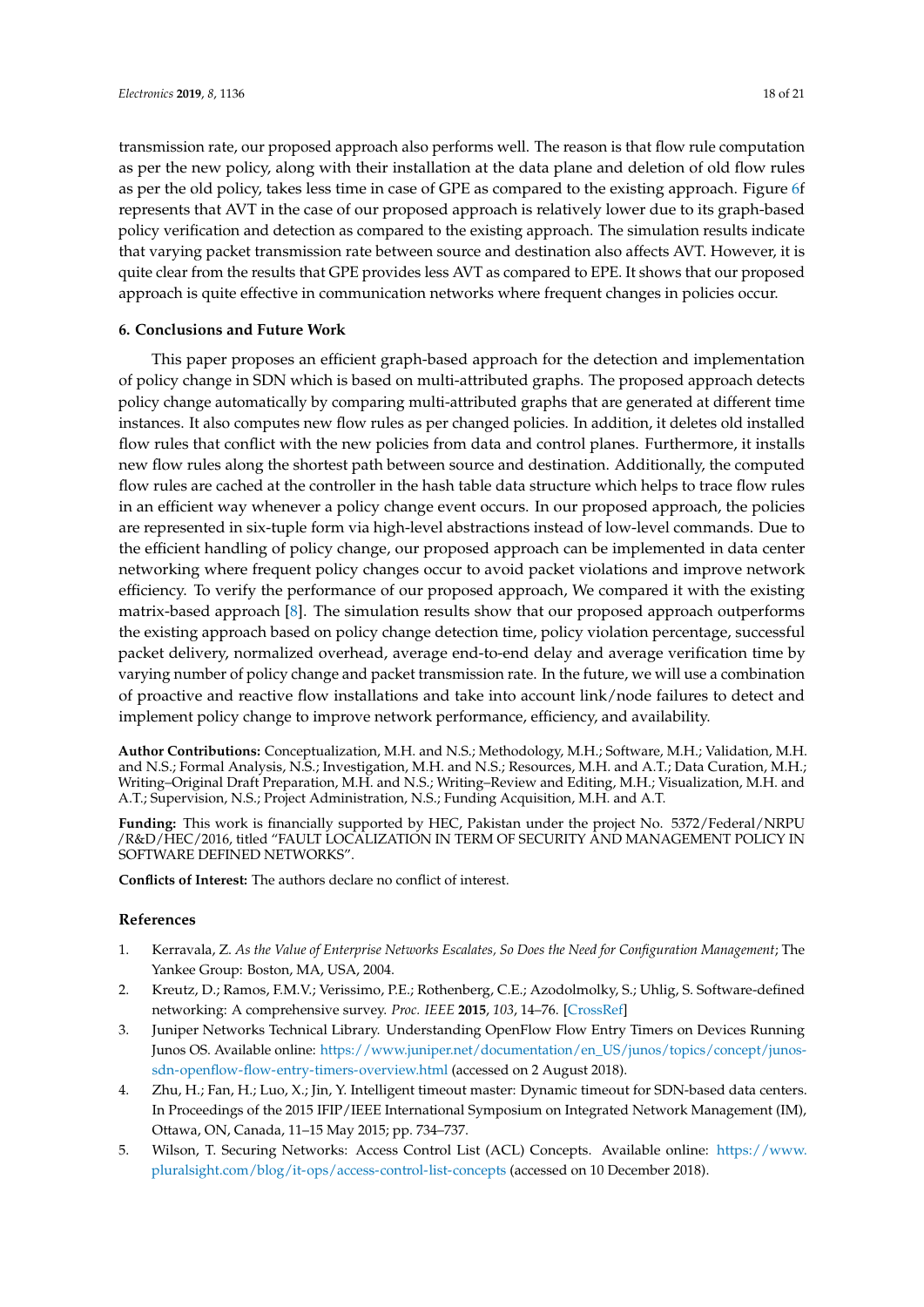transmission rate, our proposed approach also performs well. The reason is that flow rule computation as per the new policy, along with their installation at the data plane and deletion of old flow rules as per the old policy, takes less time in case of GPE as compared to the existing approach. Figure [6f](#page-16-0) represents that AVT in the case of our proposed approach is relatively lower due to its graph-based policy verification and detection as compared to the existing approach. The simulation results indicate that varying packet transmission rate between source and destination also affects AVT. However, it is quite clear from the results that GPE provides less AVT as compared to EPE. It shows that our proposed approach is quite effective in communication networks where frequent changes in policies occur.

#### <span id="page-17-5"></span>**6. Conclusions and Future Work**

This paper proposes an efficient graph-based approach for the detection and implementation of policy change in SDN which is based on multi-attributed graphs. The proposed approach detects policy change automatically by comparing multi-attributed graphs that are generated at different time instances. It also computes new flow rules as per changed policies. In addition, it deletes old installed flow rules that conflict with the new policies from data and control planes. Furthermore, it installs new flow rules along the shortest path between source and destination. Additionally, the computed flow rules are cached at the controller in the hash table data structure which helps to trace flow rules in an efficient way whenever a policy change event occurs. In our proposed approach, the policies are represented in six-tuple form via high-level abstractions instead of low-level commands. Due to the efficient handling of policy change, our proposed approach can be implemented in data center networking where frequent policy changes occur to avoid packet violations and improve network efficiency. To verify the performance of our proposed approach, We compared it with the existing matrix-based approach [\[8\]](#page-18-2). The simulation results show that our proposed approach outperforms the existing approach based on policy change detection time, policy violation percentage, successful packet delivery, normalized overhead, average end-to-end delay and average verification time by varying number of policy change and packet transmission rate. In the future, we will use a combination of proactive and reactive flow installations and take into account link/node failures to detect and implement policy change to improve network performance, efficiency, and availability.

**Author Contributions:** Conceptualization, M.H. and N.S.; Methodology, M.H.; Software, M.H.; Validation, M.H. and N.S.; Formal Analysis, N.S.; Investigation, M.H. and N.S.; Resources, M.H. and A.T.; Data Curation, M.H.; Writing–Original Draft Preparation, M.H. and N.S.; Writing–Review and Editing, M.H.; Visualization, M.H. and A.T.; Supervision, N.S.; Project Administration, N.S.; Funding Acquisition, M.H. and A.T.

**Funding:** This work is financially supported by HEC, Pakistan under the project No. 5372/Federal/NRPU /R&D/HEC/2016, titled "FAULT LOCALIZATION IN TERM OF SECURITY AND MANAGEMENT POLICY IN SOFTWARE DEFINED NETWORKS".

**Conflicts of Interest:** The authors declare no conflict of interest.

#### **References**

- <span id="page-17-0"></span>1. Kerravala, Z. *As the Value of Enterprise Networks Escalates, So Does the Need for Configuration Management*; The Yankee Group: Boston, MA, USA, 2004.
- <span id="page-17-1"></span>2. Kreutz, D.; Ramos, F.M.V.; Verissimo, P.E.; Rothenberg, C.E.; Azodolmolky, S.; Uhlig, S. Software-defined networking: A comprehensive survey. *Proc. IEEE* **2015**, *103*, 14–76. [\[CrossRef\]](http://dx.doi.org/10.1109/JPROC.2014.2371999)
- <span id="page-17-2"></span>3. Juniper Networks Technical Library. Understanding OpenFlow Flow Entry Timers on Devices Running Junos OS. Available online: [https://www.juniper.net/documentation/en\\_US/junos/topics/concept/junos](https://www.juniper.net/documentation/en_US/junos/topics/concept/junos-sdn-openflow-flow-entry-timers-overview.html)[sdn-openflow-flow-entry-timers-overview.html](https://www.juniper.net/documentation/en_US/junos/topics/concept/junos-sdn-openflow-flow-entry-timers-overview.html) (accessed on 2 August 2018).
- <span id="page-17-3"></span>4. Zhu, H.; Fan, H.; Luo, X.; Jin, Y. Intelligent timeout master: Dynamic timeout for SDN-based data centers. In Proceedings of the 2015 IFIP/IEEE International Symposium on Integrated Network Management (IM), Ottawa, ON, Canada, 11–15 May 2015; pp. 734–737.
- <span id="page-17-4"></span>5. Wilson, T. Securing Networks: Access Control List (ACL) Concepts. Available online: [https://www.](https://www.pluralsight.com/blog/it-ops/access-control-list-concepts) [pluralsight.com/blog/it-ops/access-control-list-concepts](https://www.pluralsight.com/blog/it-ops/access-control-list-concepts) (accessed on 10 December 2018).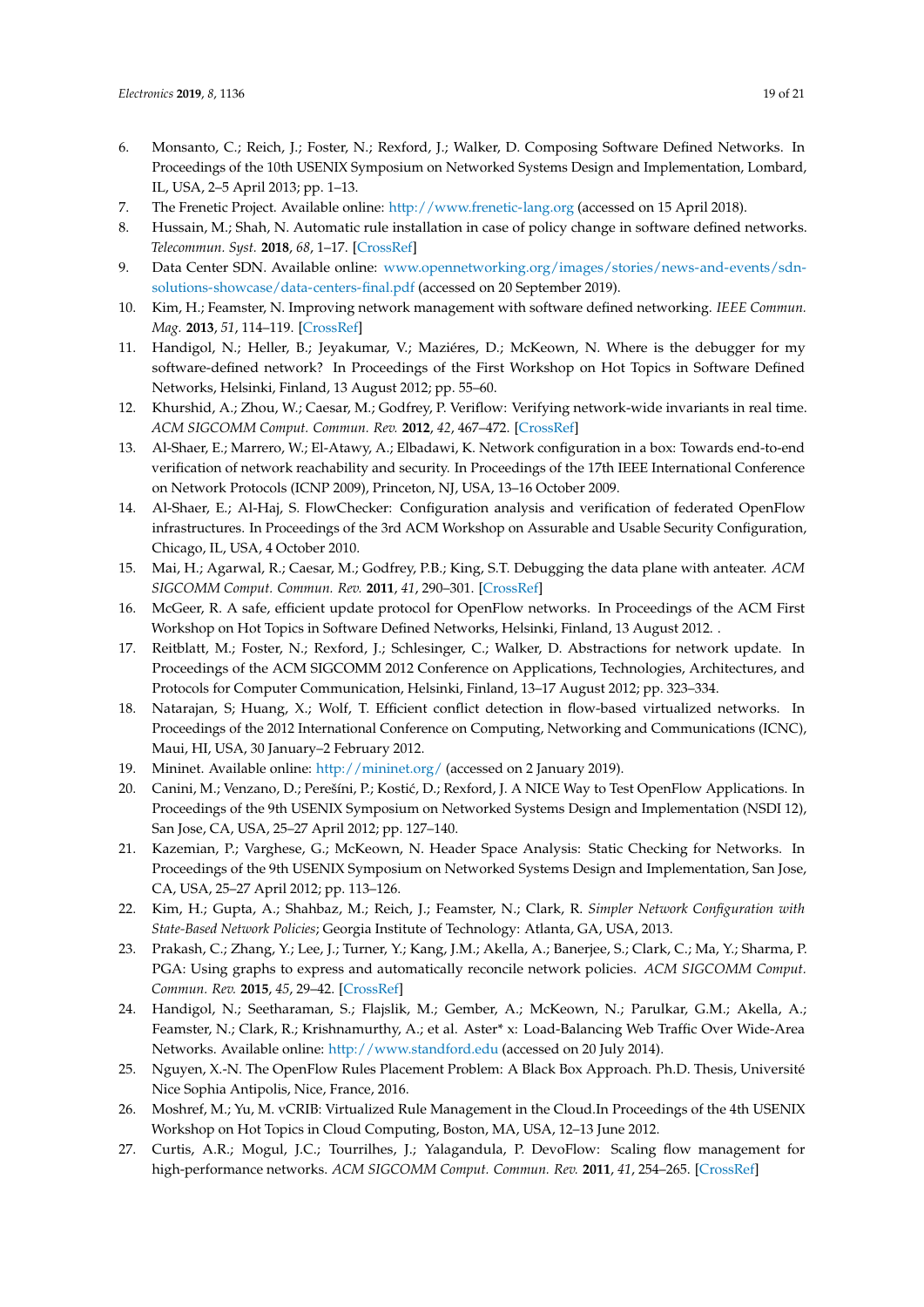- <span id="page-18-0"></span>6. Monsanto, C.; Reich, J.; Foster, N.; Rexford, J.; Walker, D. Composing Software Defined Networks. In Proceedings of the 10th USENIX Symposium on Networked Systems Design and Implementation, Lombard, IL, USA, 2–5 April 2013; pp. 1–13.
- <span id="page-18-1"></span>7. The Frenetic Project. Available online: <http://www.frenetic-lang.org> (accessed on 15 April 2018).
- <span id="page-18-2"></span>8. Hussain, M.; Shah, N. Automatic rule installation in case of policy change in software defined networks. *Telecommun. Syst.* **2018**, *68*, 1–17. [\[CrossRef\]](http://dx.doi.org/10.1007/s11235-017-0404-2)
- <span id="page-18-3"></span>9. Data Center SDN. Available online: [www.opennetworking.org/images/stories/news-and-events/sdn](www.opennetworking.org/images/stories/news-and-events/sdn-solutions-showcase/data-centers-final.pdf)[solutions-showcase/data-centers-final.pdf](www.opennetworking.org/images/stories/news-and-events/sdn-solutions-showcase/data-centers-final.pdf) (accessed on 20 September 2019).
- <span id="page-18-4"></span>10. Kim, H.; Feamster, N. Improving network management with software defined networking. *IEEE Commun. Mag.* **2013**, *51*, 114–119. [\[CrossRef\]](http://dx.doi.org/10.1109/MCOM.2013.6461195)
- <span id="page-18-5"></span>11. Handigol, N.; Heller, B.; Jeyakumar, V.; Maziéres, D.; McKeown, N. Where is the debugger for my software-defined network? In Proceedings of the First Workshop on Hot Topics in Software Defined Networks, Helsinki, Finland, 13 August 2012; pp. 55–60.
- <span id="page-18-6"></span>12. Khurshid, A.; Zhou, W.; Caesar, M.; Godfrey, P. Veriflow: Verifying network-wide invariants in real time. *ACM SIGCOMM Comput. Commun. Rev.* **2012**, *42*, 467–472. [\[CrossRef\]](http://dx.doi.org/10.1145/2377677.2377766)
- <span id="page-18-7"></span>13. Al-Shaer, E.; Marrero, W.; El-Atawy, A.; Elbadawi, K. Network configuration in a box: Towards end-to-end verification of network reachability and security. In Proceedings of the 17th IEEE International Conference on Network Protocols (ICNP 2009), Princeton, NJ, USA, 13–16 October 2009.
- <span id="page-18-8"></span>14. Al-Shaer, E.; Al-Haj, S. FlowChecker: Configuration analysis and verification of federated OpenFlow infrastructures. In Proceedings of the 3rd ACM Workshop on Assurable and Usable Security Configuration, Chicago, IL, USA, 4 October 2010.
- <span id="page-18-9"></span>15. Mai, H.; Agarwal, R.; Caesar, M.; Godfrey, P.B.; King, S.T. Debugging the data plane with anteater. *ACM SIGCOMM Comput. Commun. Rev.* **2011**, *41*, 290–301. [\[CrossRef\]](http://dx.doi.org/10.1145/2043164.2018470)
- <span id="page-18-10"></span>16. McGeer, R. A safe, efficient update protocol for OpenFlow networks. In Proceedings of the ACM First Workshop on Hot Topics in Software Defined Networks, Helsinki, Finland, 13 August 2012. .
- <span id="page-18-11"></span>17. Reitblatt, M.; Foster, N.; Rexford, J.; Schlesinger, C.; Walker, D. Abstractions for network update. In Proceedings of the ACM SIGCOMM 2012 Conference on Applications, Technologies, Architectures, and Protocols for Computer Communication, Helsinki, Finland, 13–17 August 2012; pp. 323–334.
- <span id="page-18-12"></span>18. Natarajan, S; Huang, X.; Wolf, T. Efficient conflict detection in flow-based virtualized networks. In Proceedings of the 2012 International Conference on Computing, Networking and Communications (ICNC), Maui, HI, USA, 30 January–2 February 2012.
- <span id="page-18-13"></span>19. Mininet. Available online: <http://mininet.org/> (accessed on 2 January 2019).
- <span id="page-18-14"></span>20. Canini, M.; Venzano, D.; Perešíni, P.; Kostić, D.; Rexford, J. A NICE Way to Test OpenFlow Applications. In Proceedings of the 9th USENIX Symposium on Networked Systems Design and Implementation (NSDI 12), San Jose, CA, USA, 25–27 April 2012; pp. 127–140.
- <span id="page-18-15"></span>21. Kazemian, P.; Varghese, G.; McKeown, N. Header Space Analysis: Static Checking for Networks. In Proceedings of the 9th USENIX Symposium on Networked Systems Design and Implementation, San Jose, CA, USA, 25–27 April 2012; pp. 113–126.
- <span id="page-18-16"></span>22. Kim, H.; Gupta, A.; Shahbaz, M.; Reich, J.; Feamster, N.; Clark, R. *Simpler Network Configuration with State-Based Network Policies*; Georgia Institute of Technology: Atlanta, GA, USA, 2013.
- <span id="page-18-17"></span>23. Prakash, C.; Zhang, Y.; Lee, J.; Turner, Y.; Kang, J.M.; Akella, A.; Banerjee, S.; Clark, C.; Ma, Y.; Sharma, P. PGA: Using graphs to express and automatically reconcile network policies. *ACM SIGCOMM Comput. Commun. Rev.* **2015**, *45*, 29–42. [\[CrossRef\]](http://dx.doi.org/10.1145/2829988.2787506)
- <span id="page-18-18"></span>24. Handigol, N.; Seetharaman, S.; Flajslik, M.; Gember, A.; McKeown, N.; Parulkar, G.M.; Akella, A.; Feamster, N.; Clark, R.; Krishnamurthy, A.; et al. Aster\* x: Load-Balancing Web Traffic Over Wide-Area Networks. Available online: <http://www.standford.edu> (accessed on 20 July 2014).
- <span id="page-18-19"></span>25. Nguyen, X.-N. The OpenFlow Rules Placement Problem: A Black Box Approach. Ph.D. Thesis, Université Nice Sophia Antipolis, Nice, France, 2016.
- <span id="page-18-20"></span>26. Moshref, M.; Yu, M. vCRIB: Virtualized Rule Management in the Cloud.In Proceedings of the 4th USENIX Workshop on Hot Topics in Cloud Computing, Boston, MA, USA, 12–13 June 2012.
- <span id="page-18-21"></span>27. Curtis, A.R.; Mogul, J.C.; Tourrilhes, J.; Yalagandula, P. DevoFlow: Scaling flow management for high-performance networks. *ACM SIGCOMM Comput. Commun. Rev.* **2011**, *41*, 254–265. [\[CrossRef\]](http://dx.doi.org/10.1145/2043164.2018466)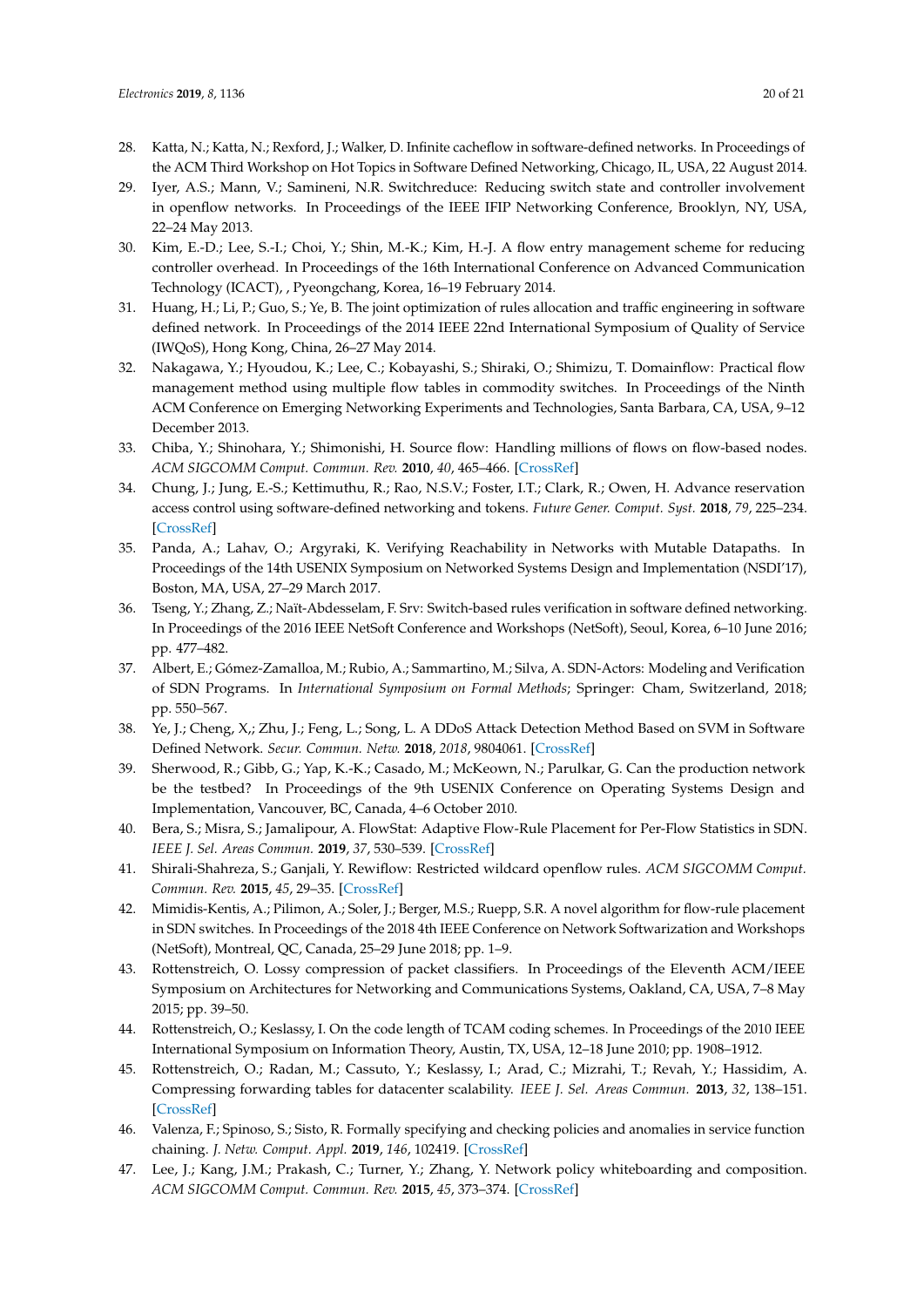- <span id="page-19-0"></span>28. Katta, N.; Katta, N.; Rexford, J.; Walker, D. Infinite cacheflow in software-defined networks. In Proceedings of the ACM Third Workshop on Hot Topics in Software Defined Networking, Chicago, IL, USA, 22 August 2014.
- <span id="page-19-1"></span>29. Iyer, A.S.; Mann, V.; Samineni, N.R. Switchreduce: Reducing switch state and controller involvement in openflow networks. In Proceedings of the IEEE IFIP Networking Conference, Brooklyn, NY, USA, 22–24 May 2013.
- <span id="page-19-2"></span>30. Kim, E.-D.; Lee, S.-I.; Choi, Y.; Shin, M.-K.; Kim, H.-J. A flow entry management scheme for reducing controller overhead. In Proceedings of the 16th International Conference on Advanced Communication Technology (ICACT), , Pyeongchang, Korea, 16–19 February 2014.
- <span id="page-19-3"></span>31. Huang, H.; Li, P.; Guo, S.; Ye, B. The joint optimization of rules allocation and traffic engineering in software defined network. In Proceedings of the 2014 IEEE 22nd International Symposium of Quality of Service (IWQoS), Hong Kong, China, 26–27 May 2014.
- <span id="page-19-4"></span>32. Nakagawa, Y.; Hyoudou, K.; Lee, C.; Kobayashi, S.; Shiraki, O.; Shimizu, T. Domainflow: Practical flow management method using multiple flow tables in commodity switches. In Proceedings of the Ninth ACM Conference on Emerging Networking Experiments and Technologies, Santa Barbara, CA, USA, 9–12 December 2013.
- <span id="page-19-5"></span>33. Chiba, Y.; Shinohara, Y.; Shimonishi, H. Source flow: Handling millions of flows on flow-based nodes. *ACM SIGCOMM Comput. Commun. Rev.* **2010**, *40*, 465–466. [\[CrossRef\]](http://dx.doi.org/10.1145/1851275.1851266)
- <span id="page-19-6"></span>34. Chung, J.; Jung, E.-S.; Kettimuthu, R.; Rao, N.S.V.; Foster, I.T.; Clark, R.; Owen, H. Advance reservation access control using software-defined networking and tokens. *Future Gener. Comput. Syst.* **2018**, *79*, 225–234. [\[CrossRef\]](http://dx.doi.org/10.1016/j.future.2017.03.010)
- <span id="page-19-7"></span>35. Panda, A.; Lahav, O.; Argyraki, K. Verifying Reachability in Networks with Mutable Datapaths. In Proceedings of the 14th USENIX Symposium on Networked Systems Design and Implementation (NSDI'17), Boston, MA, USA, 27–29 March 2017.
- <span id="page-19-8"></span>36. Tseng, Y.; Zhang, Z.; Naït-Abdesselam, F. Srv: Switch-based rules verification in software defined networking. In Proceedings of the 2016 IEEE NetSoft Conference and Workshops (NetSoft), Seoul, Korea, 6–10 June 2016; pp. 477–482.
- <span id="page-19-9"></span>37. Albert, E.; Gómez-Zamalloa, M.; Rubio, A.; Sammartino, M.; Silva, A. SDN-Actors: Modeling and Verification of SDN Programs. In *International Symposium on Formal Methods*; Springer: Cham, Switzerland, 2018; pp. 550–567.
- <span id="page-19-10"></span>38. Ye, J.; Cheng, X,; Zhu, J.; Feng, L.; Song, L. A DDoS Attack Detection Method Based on SVM in Software Defined Network. *Secur. Commun. Netw.* **2018**, *2018*, 9804061. [\[CrossRef\]](http://dx.doi.org/10.1155/2018/9804061)
- <span id="page-19-11"></span>39. Sherwood, R.; Gibb, G.; Yap, K.-K.; Casado, M.; McKeown, N.; Parulkar, G. Can the production network be the testbed? In Proceedings of the 9th USENIX Conference on Operating Systems Design and Implementation, Vancouver, BC, Canada, 4–6 October 2010.
- <span id="page-19-12"></span>40. Bera, S.; Misra, S.; Jamalipour, A. FlowStat: Adaptive Flow-Rule Placement for Per-Flow Statistics in SDN. *IEEE J. Sel. Areas Commun.* **2019**, *37*, 530–539. [\[CrossRef\]](http://dx.doi.org/10.1109/JSAC.2019.2894239)
- <span id="page-19-13"></span>41. Shirali-Shahreza, S.; Ganjali, Y. Rewiflow: Restricted wildcard openflow rules. *ACM SIGCOMM Comput. Commun. Rev.* **2015**, *45*, 29–35. [\[CrossRef\]](http://dx.doi.org/10.1145/2831347.2831352)
- <span id="page-19-14"></span>42. Mimidis-Kentis, A.; Pilimon, A.; Soler, J.; Berger, M.S.; Ruepp, S.R. A novel algorithm for flow-rule placement in SDN switches. In Proceedings of the 2018 4th IEEE Conference on Network Softwarization and Workshops (NetSoft), Montreal, QC, Canada, 25–29 June 2018; pp. 1–9.
- <span id="page-19-15"></span>43. Rottenstreich, O. Lossy compression of packet classifiers. In Proceedings of the Eleventh ACM/IEEE Symposium on Architectures for Networking and Communications Systems, Oakland, CA, USA, 7–8 May 2015; pp. 39–50.
- <span id="page-19-16"></span>44. Rottenstreich, O.; Keslassy, I. On the code length of TCAM coding schemes. In Proceedings of the 2010 IEEE International Symposium on Information Theory, Austin, TX, USA, 12–18 June 2010; pp. 1908–1912.
- <span id="page-19-17"></span>45. Rottenstreich, O.; Radan, M.; Cassuto, Y.; Keslassy, I.; Arad, C.; Mizrahi, T.; Revah, Y.; Hassidim, A. Compressing forwarding tables for datacenter scalability. *IEEE J. Sel. Areas Commun.* **2013**, *32*, 138–151. [\[CrossRef\]](http://dx.doi.org/10.1109/JSAC.2014.140113)
- <span id="page-19-18"></span>46. Valenza, F.; Spinoso, S.; Sisto, R. Formally specifying and checking policies and anomalies in service function chaining. *J. Netw. Comput. Appl.* **2019**, *146*, 102419. [\[CrossRef\]](http://dx.doi.org/10.1016/j.jnca.2019.102419)
- <span id="page-19-19"></span>47. Lee, J.; Kang, J.M.; Prakash, C.; Turner, Y.; Zhang, Y. Network policy whiteboarding and composition. *ACM SIGCOMM Comput. Commun. Rev.* **2015**, *45*, 373–374. [\[CrossRef\]](http://dx.doi.org/10.1145/2829988.2790039)